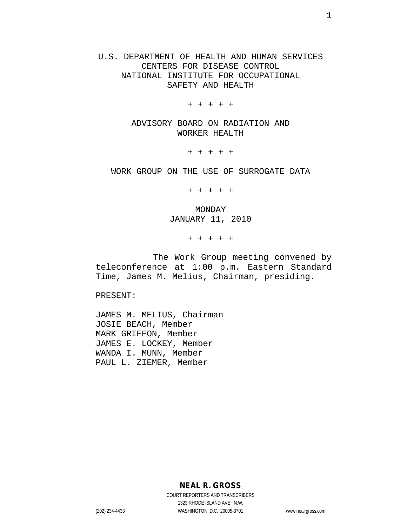U.S. DEPARTMENT OF HEALTH AND HUMAN SERVICES CENTERS FOR DISEASE CONTROL NATIONAL INSTITUTE FOR OCCUPATIONAL SAFETY AND HEALTH

+ + + + +

ADVISORY BOARD ON RADIATION AND WORKER HEALTH

+ + + + +

WORK GROUP ON THE USE OF SURROGATE DATA

+ + + + +

MONDAY JANUARY 11, 2010

+ + + + +

The Work Group meeting convened by teleconference at 1:00 p.m. Eastern Standard Time, James M. Melius, Chairman, presiding.

PRESENT:

JAMES M. MELIUS, Chairman JOSIE BEACH, Member MARK GRIFFON, Member JAMES E. LOCKEY, Member WANDA I. MUNN, Member PAUL L. ZIEMER, Member

**NEAL R. GROSS**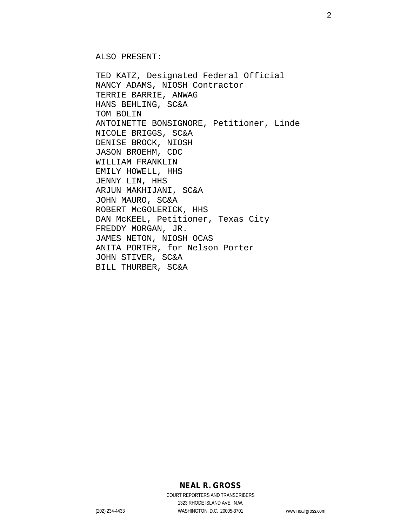ALSO PRESENT:

TED KATZ, Designated Federal Official NANCY ADAMS, NIOSH Contractor TERRIE BARRIE, ANWAG HANS BEHLING, SC&A TOM BOLIN ANTOINETTE BONSIGNORE, Petitioner, Linde NICOLE BRIGGS, SC&A DENISE BROCK, NIOSH JASON BROEHM, CDC WILLIAM FRANKLIN EMILY HOWELL, HHS JENNY LIN, HHS ARJUN MAKHIJANI, SC&A JOHN MAURO, SC&A ROBERT McGOLERICK, HHS DAN McKEEL, Petitioner, Texas City FREDDY MORGAN, JR. JAMES NETON, NIOSH OCAS ANITA PORTER, for Nelson Porter JOHN STIVER, SC&A BILL THURBER, SC&A

### **NEAL R. GROSS**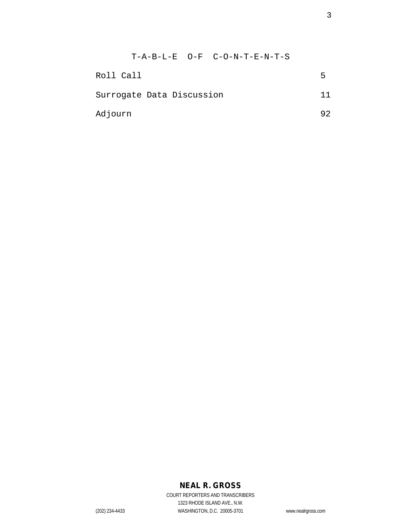|                           |  |  | $T - A - B - L - E$ $Q - F$ $C - Q - N - T - E - N - T - S$ |    |
|---------------------------|--|--|-------------------------------------------------------------|----|
| Roll Call                 |  |  |                                                             | 5  |
| Surrogate Data Discussion |  |  |                                                             | 11 |
| Adjourn                   |  |  |                                                             | 92 |

### **NEAL R. GROSS**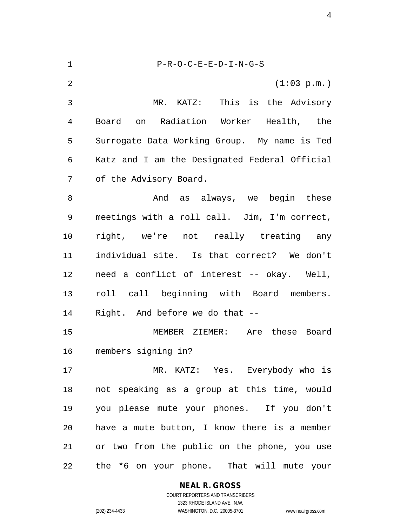| 1  | $P-R-O-C-E-E-D-I-N-G-S$                       |
|----|-----------------------------------------------|
| 2  | (1:03 p.m.)                                   |
| 3  | MR. KATZ: This is the Advisory                |
| 4  | on Radiation Worker Health, the<br>Board      |
| 5  | Surrogate Data Working Group. My name is Ted  |
| 6  | Katz and I am the Designated Federal Official |
| 7  | of the Advisory Board.                        |
| 8  | And as always, we begin these                 |
| 9  | meetings with a roll call. Jim, I'm correct,  |
| 10 | right, we're not really treating any          |
| 11 | individual site. Is that correct? We don't    |
| 12 | need a conflict of interest -- okay. Well,    |
| 13 | roll call beginning with Board members.       |
| 14 | Right. And before we do that --               |
| 15 | MEMBER ZIEMER:<br>Are these Board             |
| 16 | members signing in?                           |
| 17 | MR. KATZ: Yes. Everybody who is               |
| 18 | not speaking as a group at this time, would   |
| 19 | you please mute your phones. If you don't     |
| 20 | have a mute button, I know there is a member  |
| 21 | or two from the public on the phone, you use  |
| 22 | the *6 on your phone. That will mute your     |

**NEAL R. GROSS**

COURT REPORTERS AND TRANSCRIBERS 1323 RHODE ISLAND AVE., N.W. (202) 234-4433 WASHINGTON, D.C. 20005-3701 www.nealrgross.com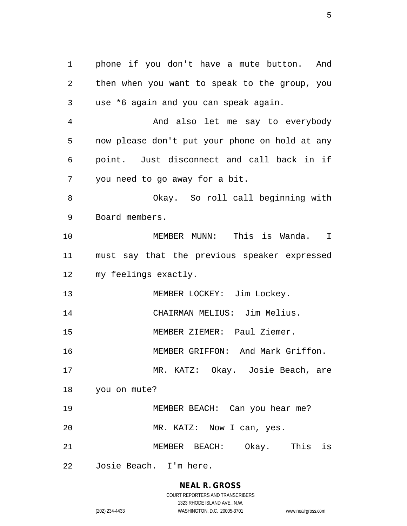phone if you don't have a mute button. And then when you want to speak to the group, you use \*6 again and you can speak again. And also let me say to everybody now please don't put your phone on hold at any point. Just disconnect and call back in if you need to go away for a bit. Okay. So roll call beginning with Board members. MEMBER MUNN: This is Wanda. I must say that the previous speaker expressed my feelings exactly. 13 MEMBER LOCKEY: Jim Lockey. CHAIRMAN MELIUS: Jim Melius. MEMBER ZIEMER: Paul Ziemer. MEMBER GRIFFON: And Mark Griffon. MR. KATZ: Okay. Josie Beach, are you on mute? MEMBER BEACH: Can you hear me? 20 MR. KATZ: Now I can, yes. MEMBER BEACH: Okay. This is Josie Beach. I'm here.

# **NEAL R. GROSS**

COURT REPORTERS AND TRANSCRIBERS 1323 RHODE ISLAND AVE., N.W. (202) 234-4433 WASHINGTON, D.C. 20005-3701 www.nealrgross.com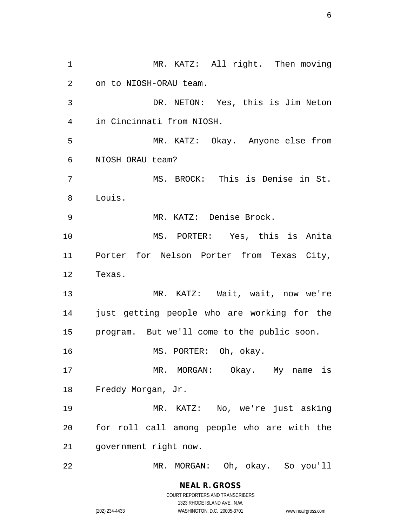1 MR. KATZ: All right. Then moving on to NIOSH-ORAU team. DR. NETON: Yes, this is Jim Neton in Cincinnati from NIOSH. MR. KATZ: Okay. Anyone else from NIOSH ORAU team? 7 MS. BROCK: This is Denise in St. Louis. MR. KATZ: Denise Brock. MS. PORTER: Yes, this is Anita Porter for Nelson Porter from Texas City, Texas. MR. KATZ: Wait, wait, now we're just getting people who are working for the program. But we'll come to the public soon. MS. PORTER: Oh, okay. 17 MR. MORGAN: Okay. My name is Freddy Morgan, Jr. MR. KATZ: No, we're just asking for roll call among people who are with the government right now. MR. MORGAN: Oh, okay. So you'll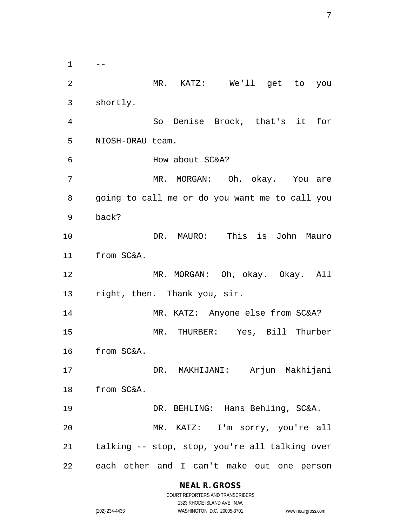$1 \qquad --$  MR. KATZ: We'll get to you shortly. So Denise Brock, that's it for NIOSH-ORAU team. How about SC&A? MR. MORGAN: Oh, okay. You are going to call me or do you want me to call you back? DR. MAURO: This is John Mauro from SC&A. MR. MORGAN: Oh, okay. Okay. All right, then. Thank you, sir. MR. KATZ: Anyone else from SC&A? MR. THURBER: Yes, Bill Thurber from SC&A. DR. MAKHIJANI: Arjun Makhijani from SC&A. DR. BEHLING: Hans Behling, SC&A. MR. KATZ: I'm sorry, you're all talking -- stop, stop, you're all talking over each other and I can't make out one person

### **NEAL R. GROSS**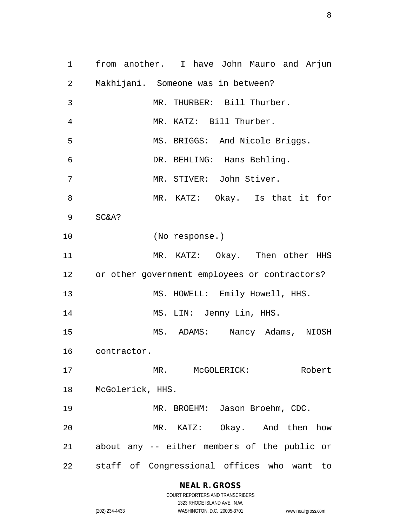from another. I have John Mauro and Arjun Makhijani. Someone was in between? MR. THURBER: Bill Thurber. MR. KATZ: Bill Thurber. MS. BRIGGS: And Nicole Briggs. DR. BEHLING: Hans Behling. MR. STIVER: John Stiver. MR. KATZ: Okay. Is that it for SC&A? (No response.) MR. KATZ: Okay. Then other HHS or other government employees or contractors? 13 MS. HOWELL: Emily Howell, HHS. 14 MS. LIN: Jenny Lin, HHS. MS. ADAMS: Nancy Adams, NIOSH contractor. MR. McGOLERICK: Robert McGolerick, HHS. MR. BROEHM: Jason Broehm, CDC. MR. KATZ: Okay. And then how about any -- either members of the public or staff of Congressional offices who want to

### **NEAL R. GROSS**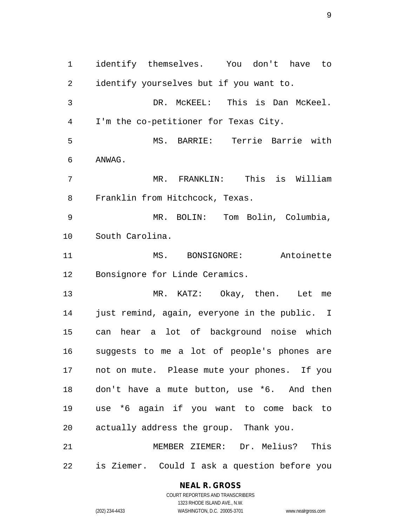identify themselves. You don't have to identify yourselves but if you want to. DR. McKEEL: This is Dan McKeel. I'm the co-petitioner for Texas City. MS. BARRIE: Terrie Barrie with ANWAG. MR. FRANKLIN: This is William Franklin from Hitchcock, Texas. MR. BOLIN: Tom Bolin, Columbia, South Carolina. MS. BONSIGNORE: Antoinette Bonsignore for Linde Ceramics. MR. KATZ: Okay, then. Let me just remind, again, everyone in the public. I can hear a lot of background noise which suggests to me a lot of people's phones are not on mute. Please mute your phones. If you don't have a mute button, use \*6. And then use \*6 again if you want to come back to actually address the group. Thank you. MEMBER ZIEMER: Dr. Melius? This is Ziemer. Could I ask a question before you

### **NEAL R. GROSS**

COURT REPORTERS AND TRANSCRIBERS 1323 RHODE ISLAND AVE., N.W. (202) 234-4433 WASHINGTON, D.C. 20005-3701 www.nealrgross.com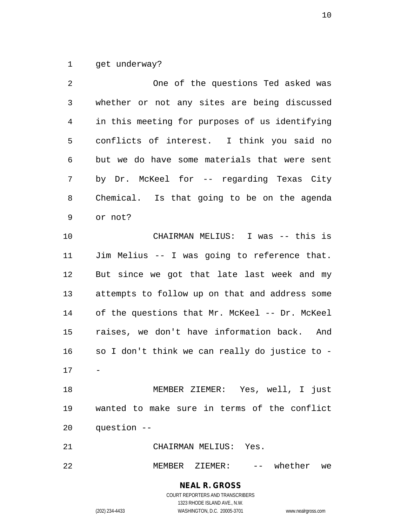get underway?

| 2            | One of the questions Ted asked was             |
|--------------|------------------------------------------------|
| $\mathsf{3}$ | whether or not any sites are being discussed   |
| 4            | in this meeting for purposes of us identifying |
| 5            | conflicts of interest. I think you said no     |
| 6            | but we do have some materials that were sent   |
| 7            | by Dr. McKeel for -- regarding Texas City      |
| 8            | Chemical. Is that going to be on the agenda    |
| 9            | or not?                                        |
| 10           | CHAIRMAN MELIUS: I was -- this is              |
| 11           | Jim Melius -- I was going to reference that.   |
| 12           | But since we got that late last week and my    |
| 13           | attempts to follow up on that and address some |
| 14           | of the questions that Mr. McKeel -- Dr. McKeel |
| 15           | raises, we don't have information back. And    |
| 16           | so I don't think we can really do justice to - |
| 17           |                                                |
| 18           | MEMBER ZIEMER: Yes, well, I just               |
| 19           | wanted to make sure in terms of the conflict   |
| 20           | question --                                    |
| 21           | CHAIRMAN MELIUS: Yes.                          |

MEMBER ZIEMER: -- whether we

**NEAL R. GROSS** COURT REPORTERS AND TRANSCRIBERS 1323 RHODE ISLAND AVE., N.W.

(202) 234-4433 WASHINGTON, D.C. 20005-3701 www.nealrgross.com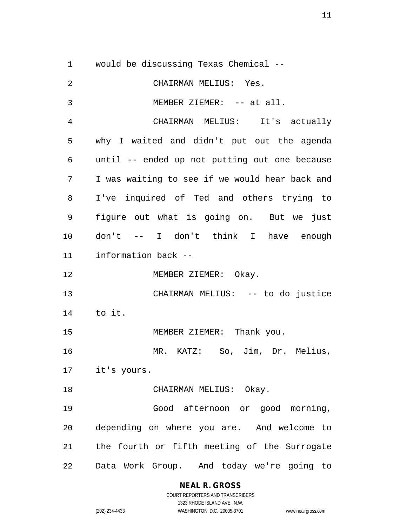would be discussing Texas Chemical -- CHAIRMAN MELIUS: Yes. 3 MEMBER ZIEMER: -- at all. CHAIRMAN MELIUS: It's actually why I waited and didn't put out the agenda until -- ended up not putting out one because I was waiting to see if we would hear back and I've inquired of Ted and others trying to figure out what is going on. But we just don't -- I don't think I have enough information back -- 12 MEMBER ZIEMER: Okay. CHAIRMAN MELIUS: -- to do justice to it. 15 MEMBER ZIEMER: Thank you. MR. KATZ: So, Jim, Dr. Melius, it's yours. 18 CHAIRMAN MELIUS: Okay. Good afternoon or good morning, depending on where you are. And welcome to the fourth or fifth meeting of the Surrogate Data Work Group. And today we're going to

**NEAL R. GROSS**

COURT REPORTERS AND TRANSCRIBERS 1323 RHODE ISLAND AVE., N.W. (202) 234-4433 WASHINGTON, D.C. 20005-3701 www.nealrgross.com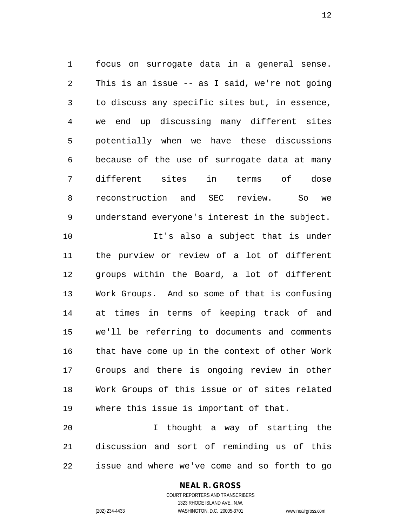focus on surrogate data in a general sense. This is an issue -- as I said, we're not going to discuss any specific sites but, in essence, we end up discussing many different sites potentially when we have these discussions because of the use of surrogate data at many different sites in terms of dose reconstruction and SEC review. So we understand everyone's interest in the subject. It's also a subject that is under the purview or review of a lot of different groups within the Board, a lot of different Work Groups. And so some of that is confusing at times in terms of keeping track of and we'll be referring to documents and comments that have come up in the context of other Work Groups and there is ongoing review in other Work Groups of this issue or of sites related where this issue is important of that.

 I thought a way of starting the discussion and sort of reminding us of this issue and where we've come and so forth to go

### **NEAL R. GROSS**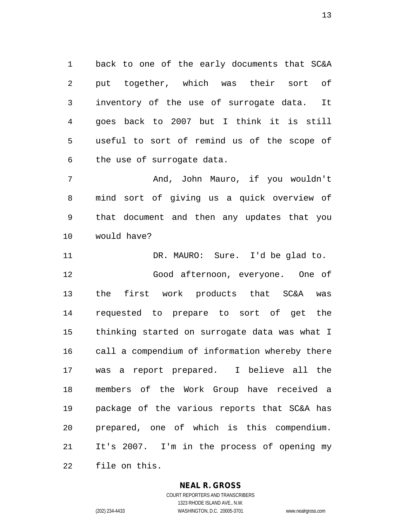back to one of the early documents that SC&A put together, which was their sort of inventory of the use of surrogate data. It goes back to 2007 but I think it is still useful to sort of remind us of the scope of the use of surrogate data.

 And, John Mauro, if you wouldn't mind sort of giving us a quick overview of that document and then any updates that you would have?

 DR. MAURO: Sure. I'd be glad to. Good afternoon, everyone. One of the first work products that SC&A was requested to prepare to sort of get the thinking started on surrogate data was what I call a compendium of information whereby there was a report prepared. I believe all the members of the Work Group have received a package of the various reports that SC&A has prepared, one of which is this compendium. It's 2007. I'm in the process of opening my file on this.

### **NEAL R. GROSS**

COURT REPORTERS AND TRANSCRIBERS 1323 RHODE ISLAND AVE., N.W. (202) 234-4433 WASHINGTON, D.C. 20005-3701 www.nealrgross.com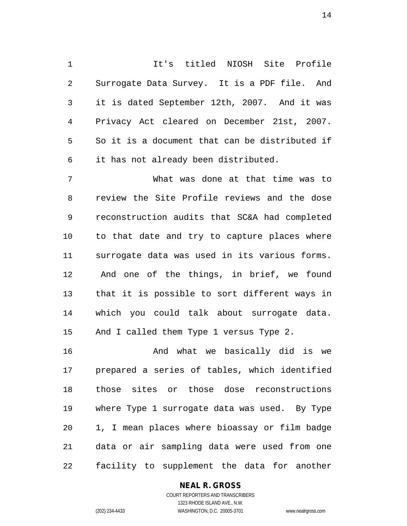It's titled NIOSH Site Profile Surrogate Data Survey. It is a PDF file. And it is dated September 12th, 2007. And it was Privacy Act cleared on December 21st, 2007. So it is a document that can be distributed if it has not already been distributed.

 What was done at that time was to review the Site Profile reviews and the dose reconstruction audits that SC&A had completed to that date and try to capture places where surrogate data was used in its various forms. And one of the things, in brief, we found that it is possible to sort different ways in which you could talk about surrogate data. And I called them Type 1 versus Type 2.

 And what we basically did is we prepared a series of tables, which identified those sites or those dose reconstructions where Type 1 surrogate data was used. By Type 1, I mean places where bioassay or film badge data or air sampling data were used from one facility to supplement the data for another

### **NEAL R. GROSS**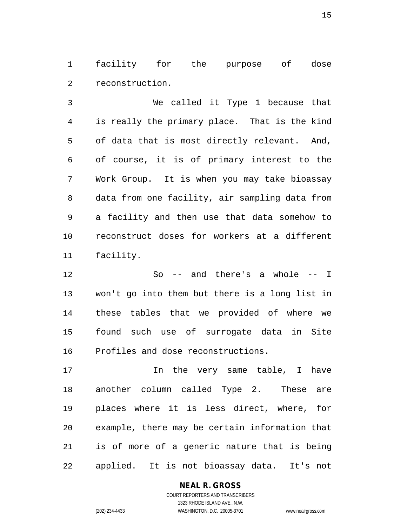facility for the purpose of dose reconstruction.

 We called it Type 1 because that is really the primary place. That is the kind of data that is most directly relevant. And, of course, it is of primary interest to the Work Group. It is when you may take bioassay data from one facility, air sampling data from a facility and then use that data somehow to reconstruct doses for workers at a different facility.

 So -- and there's a whole -- I won't go into them but there is a long list in these tables that we provided of where we found such use of surrogate data in Site Profiles and dose reconstructions.

17 17 In the very same table, I have another column called Type 2. These are places where it is less direct, where, for example, there may be certain information that is of more of a generic nature that is being applied. It is not bioassay data. It's not

### **NEAL R. GROSS**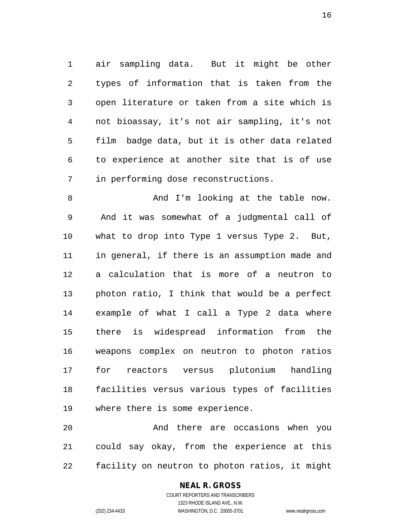air sampling data. But it might be other types of information that is taken from the open literature or taken from a site which is not bioassay, it's not air sampling, it's not film badge data, but it is other data related to experience at another site that is of use in performing dose reconstructions.

 And I'm looking at the table now. And it was somewhat of a judgmental call of what to drop into Type 1 versus Type 2. But, in general, if there is an assumption made and a calculation that is more of a neutron to photon ratio, I think that would be a perfect example of what I call a Type 2 data where there is widespread information from the weapons complex on neutron to photon ratios for reactors versus plutonium handling facilities versus various types of facilities where there is some experience.

 And there are occasions when you could say okay, from the experience at this facility on neutron to photon ratios, it might

## **NEAL R. GROSS**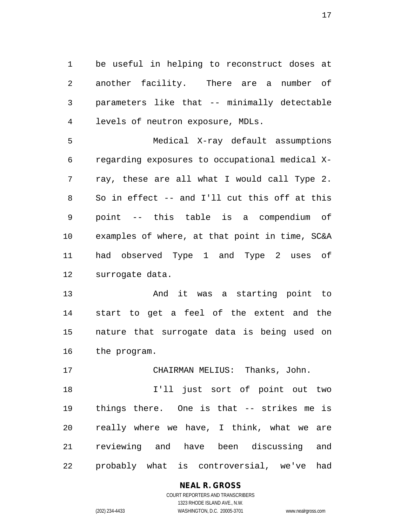be useful in helping to reconstruct doses at another facility. There are a number of parameters like that -- minimally detectable levels of neutron exposure, MDLs.

 Medical X-ray default assumptions regarding exposures to occupational medical X- ray, these are all what I would call Type 2. So in effect -- and I'll cut this off at this point -- this table is a compendium of examples of where, at that point in time, SC&A had observed Type 1 and Type 2 uses of surrogate data.

 And it was a starting point to start to get a feel of the extent and the nature that surrogate data is being used on the program.

CHAIRMAN MELIUS: Thanks, John.

 I'll just sort of point out two things there. One is that -- strikes me is really where we have, I think, what we are reviewing and have been discussing and probably what is controversial, we've had

### **NEAL R. GROSS**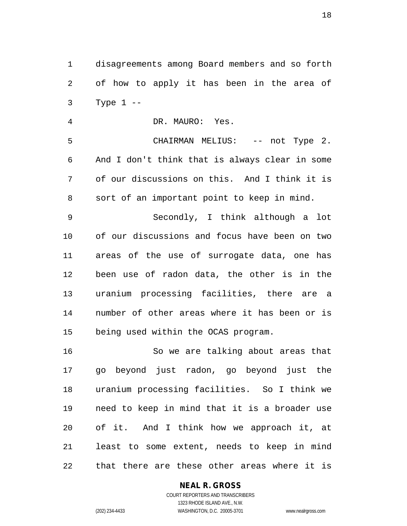disagreements among Board members and so forth of how to apply it has been in the area of Type 1 --

DR. MAURO: Yes.

 CHAIRMAN MELIUS: -- not Type 2. And I don't think that is always clear in some of our discussions on this. And I think it is sort of an important point to keep in mind. Secondly, I think although a lot

 of our discussions and focus have been on two areas of the use of surrogate data, one has been use of radon data, the other is in the uranium processing facilities, there are a number of other areas where it has been or is being used within the OCAS program.

 So we are talking about areas that go beyond just radon, go beyond just the uranium processing facilities. So I think we need to keep in mind that it is a broader use of it. And I think how we approach it, at least to some extent, needs to keep in mind that there are these other areas where it is

### **NEAL R. GROSS**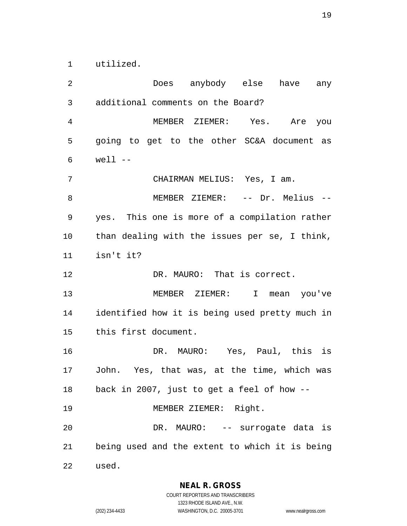utilized.

 Does anybody else have any additional comments on the Board? MEMBER ZIEMER: Yes. Are you going to get to the other SC&A document as well -- CHAIRMAN MELIUS: Yes, I am. 8 MEMBER ZIEMER: -- Dr. Melius -- yes. This one is more of a compilation rather than dealing with the issues per se, I think, isn't it? DR. MAURO: That is correct. MEMBER ZIEMER: I mean you've identified how it is being used pretty much in this first document. DR. MAURO: Yes, Paul, this is John. Yes, that was, at the time, which was back in 2007, just to get a feel of how -- MEMBER ZIEMER: Right. DR. MAURO: -- surrogate data is being used and the extent to which it is being used.

**NEAL R. GROSS**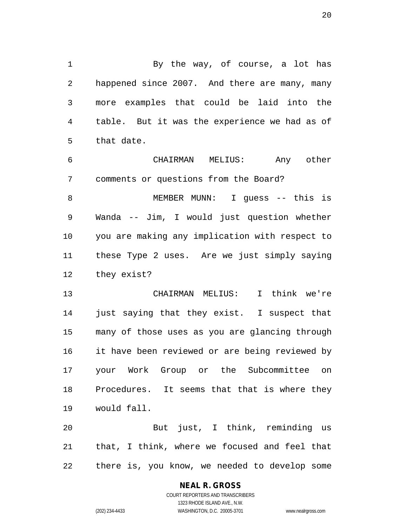1 By the way, of course, a lot has happened since 2007. And there are many, many more examples that could be laid into the table. But it was the experience we had as of that date.

 CHAIRMAN MELIUS: Any other comments or questions from the Board?

 MEMBER MUNN: I guess -- this is Wanda -- Jim, I would just question whether you are making any implication with respect to these Type 2 uses. Are we just simply saying they exist?

 CHAIRMAN MELIUS: I think we're just saying that they exist. I suspect that many of those uses as you are glancing through it have been reviewed or are being reviewed by your Work Group or the Subcommittee on Procedures. It seems that that is where they would fall.

 But just, I think, reminding us that, I think, where we focused and feel that there is, you know, we needed to develop some

### **NEAL R. GROSS**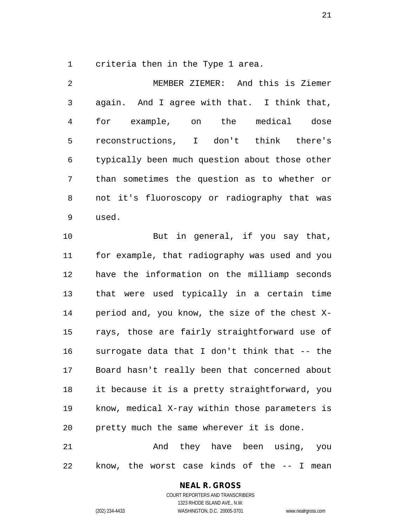criteria then in the Type 1 area.

 MEMBER ZIEMER: And this is Ziemer again. And I agree with that. I think that, for example, on the medical dose reconstructions, I don't think there's typically been much question about those other than sometimes the question as to whether or not it's fluoroscopy or radiography that was used.

10 But in general, if you say that, for example, that radiography was used and you have the information on the milliamp seconds that were used typically in a certain time period and, you know, the size of the chest X- rays, those are fairly straightforward use of surrogate data that I don't think that -- the Board hasn't really been that concerned about it because it is a pretty straightforward, you know, medical X-ray within those parameters is pretty much the same wherever it is done.

21 And they have been using, you know, the worst case kinds of the -- I mean

### **NEAL R. GROSS**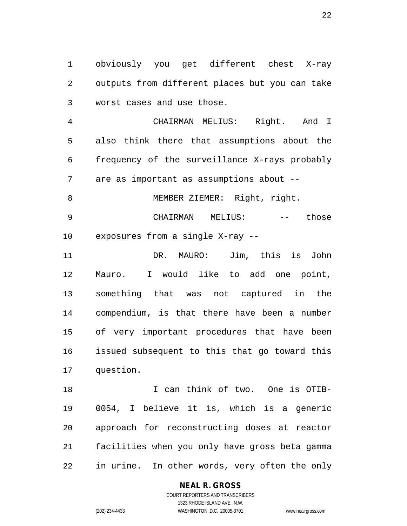obviously you get different chest X-ray outputs from different places but you can take worst cases and use those.

 CHAIRMAN MELIUS: Right. And I also think there that assumptions about the frequency of the surveillance X-rays probably are as important as assumptions about --

8 MEMBER ZIEMER: Right, right. CHAIRMAN MELIUS: -- those

exposures from a single X-ray --

 DR. MAURO: Jim, this is John Mauro. I would like to add one point, something that was not captured in the compendium, is that there have been a number of very important procedures that have been issued subsequent to this that go toward this question.

 I can think of two. One is OTIB- 0054, I believe it is, which is a generic approach for reconstructing doses at reactor facilities when you only have gross beta gamma in urine. In other words, very often the only

### **NEAL R. GROSS**

COURT REPORTERS AND TRANSCRIBERS 1323 RHODE ISLAND AVE., N.W. (202) 234-4433 WASHINGTON, D.C. 20005-3701 www.nealrgross.com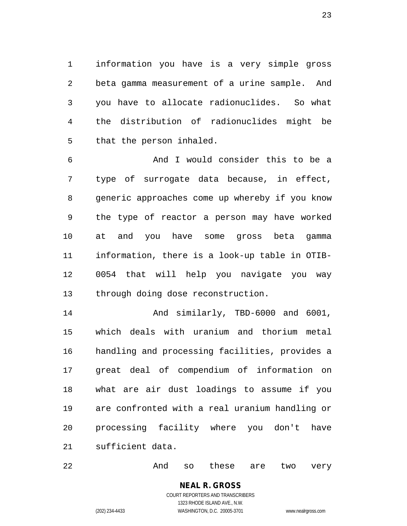information you have is a very simple gross beta gamma measurement of a urine sample. And you have to allocate radionuclides. So what the distribution of radionuclides might be that the person inhaled.

 And I would consider this to be a type of surrogate data because, in effect, generic approaches come up whereby if you know the type of reactor a person may have worked at and you have some gross beta gamma information, there is a look-up table in OTIB- 0054 that will help you navigate you way through doing dose reconstruction.

 And similarly, TBD-6000 and 6001, which deals with uranium and thorium metal handling and processing facilities, provides a great deal of compendium of information on what are air dust loadings to assume if you are confronted with a real uranium handling or processing facility where you don't have sufficient data.

22 And so these are two very

### **NEAL R. GROSS**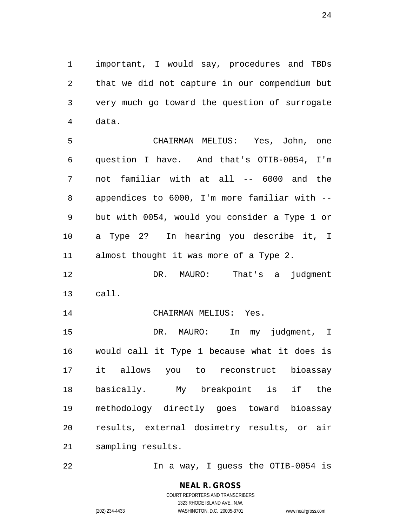important, I would say, procedures and TBDs that we did not capture in our compendium but very much go toward the question of surrogate data.

 CHAIRMAN MELIUS: Yes, John, one question I have. And that's OTIB-0054, I'm not familiar with at all -- 6000 and the appendices to 6000, I'm more familiar with -- but with 0054, would you consider a Type 1 or a Type 2? In hearing you describe it, I almost thought it was more of a Type 2.

 DR. MAURO: That's a judgment call.

14 CHAIRMAN MELIUS: Yes.

 DR. MAURO: In my judgment, I would call it Type 1 because what it does is it allows you to reconstruct bioassay basically. My breakpoint is if the methodology directly goes toward bioassay results, external dosimetry results, or air sampling results.

22 In a way, I guess the OTIB-0054 is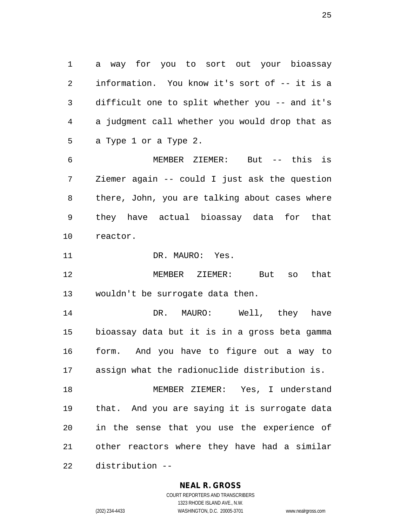a way for you to sort out your bioassay information. You know it's sort of -- it is a difficult one to split whether you -- and it's a judgment call whether you would drop that as a Type 1 or a Type 2.

 MEMBER ZIEMER: But -- this is Ziemer again -- could I just ask the question there, John, you are talking about cases where they have actual bioassay data for that reactor.

11 DR. MAURO: Yes.

 MEMBER ZIEMER: But so that wouldn't be surrogate data then.

 DR. MAURO: Well, they have bioassay data but it is in a gross beta gamma form. And you have to figure out a way to assign what the radionuclide distribution is.

 MEMBER ZIEMER: Yes, I understand that. And you are saying it is surrogate data in the sense that you use the experience of other reactors where they have had a similar distribution --

#### **NEAL R. GROSS**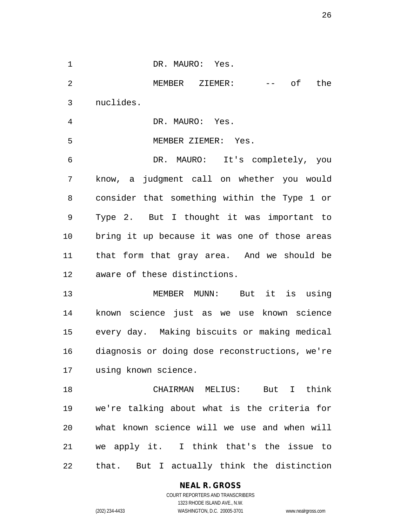| $\mathbf 1$    | DR. MAURO: Yes.                                                                                                                                                                                                                                                                                                                                                                                                                                                                                 |
|----------------|-------------------------------------------------------------------------------------------------------------------------------------------------------------------------------------------------------------------------------------------------------------------------------------------------------------------------------------------------------------------------------------------------------------------------------------------------------------------------------------------------|
| $\overline{2}$ | MEMBER ZIEMER:<br>of the<br>$\frac{1}{2} \frac{1}{2} \left( \frac{1}{2} \right) \left( \frac{1}{2} \right) \left( \frac{1}{2} \right) \left( \frac{1}{2} \right) \left( \frac{1}{2} \right) \left( \frac{1}{2} \right) \left( \frac{1}{2} \right) \left( \frac{1}{2} \right) \left( \frac{1}{2} \right) \left( \frac{1}{2} \right) \left( \frac{1}{2} \right) \left( \frac{1}{2} \right) \left( \frac{1}{2} \right) \left( \frac{1}{2} \right) \left( \frac{1}{2} \right) \left( \frac{1}{2} \$ |
| $\mathfrak{Z}$ | nuclides.                                                                                                                                                                                                                                                                                                                                                                                                                                                                                       |
| 4              | DR. MAURO: Yes.                                                                                                                                                                                                                                                                                                                                                                                                                                                                                 |
| 5              | MEMBER ZIEMER: Yes.                                                                                                                                                                                                                                                                                                                                                                                                                                                                             |
| 6              | DR. MAURO: It's completely, you                                                                                                                                                                                                                                                                                                                                                                                                                                                                 |
| 7              | know, a judgment call on whether you would                                                                                                                                                                                                                                                                                                                                                                                                                                                      |
| 8              | consider that something within the Type 1 or                                                                                                                                                                                                                                                                                                                                                                                                                                                    |
| 9              | Type 2. But I thought it was important to                                                                                                                                                                                                                                                                                                                                                                                                                                                       |
| 10             | bring it up because it was one of those areas                                                                                                                                                                                                                                                                                                                                                                                                                                                   |
| 11             | that form that gray area. And we should be                                                                                                                                                                                                                                                                                                                                                                                                                                                      |
| 12             | aware of these distinctions.                                                                                                                                                                                                                                                                                                                                                                                                                                                                    |
| 13             | MEMBER MUNN: But it is using                                                                                                                                                                                                                                                                                                                                                                                                                                                                    |
| 14             | known science just as we use known science                                                                                                                                                                                                                                                                                                                                                                                                                                                      |
|                | 15 every day. Making biscuits or making medical                                                                                                                                                                                                                                                                                                                                                                                                                                                 |
|                | 16 diagnosis or doing dose reconstructions, we're                                                                                                                                                                                                                                                                                                                                                                                                                                               |
| 17             | using known science.                                                                                                                                                                                                                                                                                                                                                                                                                                                                            |
| 18             | CHAIRMAN MELIUS: But I think                                                                                                                                                                                                                                                                                                                                                                                                                                                                    |
| 19             | we're talking about what is the criteria for                                                                                                                                                                                                                                                                                                                                                                                                                                                    |
| 20             | what known science will we use and when will                                                                                                                                                                                                                                                                                                                                                                                                                                                    |
| 21             | we apply it. I think that's the issue to                                                                                                                                                                                                                                                                                                                                                                                                                                                        |
| 22             | that. But I actually think the distinction                                                                                                                                                                                                                                                                                                                                                                                                                                                      |

**NEAL R. GROSS**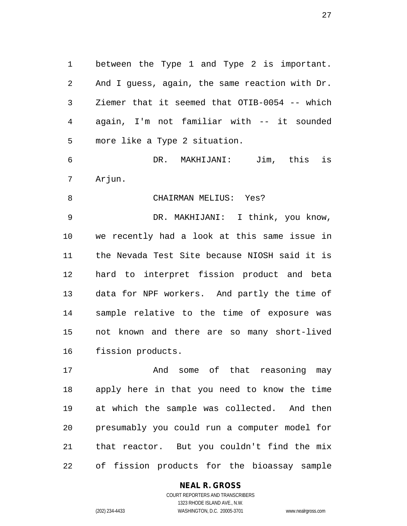between the Type 1 and Type 2 is important. And I guess, again, the same reaction with Dr. Ziemer that it seemed that OTIB-0054 -- which again, I'm not familiar with -- it sounded more like a Type 2 situation.

 DR. MAKHIJANI: Jim, this is Arjun.

#### CHAIRMAN MELIUS: Yes?

 DR. MAKHIJANI: I think, you know, we recently had a look at this same issue in the Nevada Test Site because NIOSH said it is hard to interpret fission product and beta data for NPF workers. And partly the time of sample relative to the time of exposure was not known and there are so many short-lived fission products.

17 The Mand some of that reasoning may apply here in that you need to know the time at which the sample was collected. And then presumably you could run a computer model for that reactor. But you couldn't find the mix of fission products for the bioassay sample

### **NEAL R. GROSS**

COURT REPORTERS AND TRANSCRIBERS 1323 RHODE ISLAND AVE., N.W. (202) 234-4433 WASHINGTON, D.C. 20005-3701 www.nealrgross.com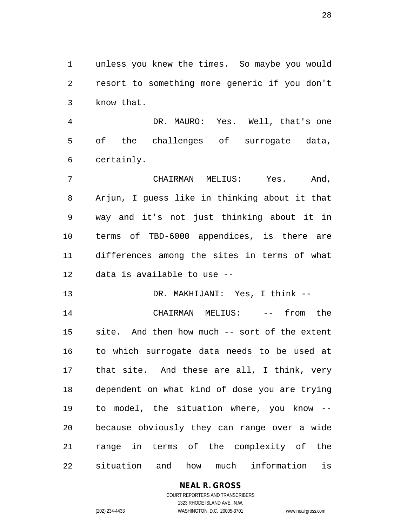unless you knew the times. So maybe you would resort to something more generic if you don't know that.

 DR. MAURO: Yes. Well, that's one of the challenges of surrogate data, certainly.

 CHAIRMAN MELIUS: Yes. And, Arjun, I guess like in thinking about it that way and it's not just thinking about it in terms of TBD-6000 appendices, is there are differences among the sites in terms of what data is available to use --

DR. MAKHIJANI: Yes, I think --

14 CHAIRMAN MELIUS: -- from the site. And then how much -- sort of the extent to which surrogate data needs to be used at that site. And these are all, I think, very dependent on what kind of dose you are trying to model, the situation where, you know -- because obviously they can range over a wide range in terms of the complexity of the situation and how much information is

### **NEAL R. GROSS**

COURT REPORTERS AND TRANSCRIBERS 1323 RHODE ISLAND AVE., N.W. (202) 234-4433 WASHINGTON, D.C. 20005-3701 www.nealrgross.com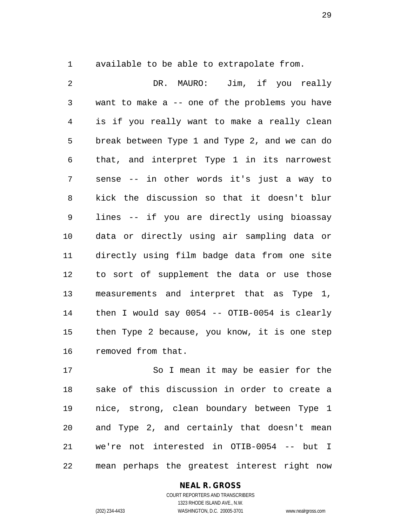available to be able to extrapolate from.

 DR. MAURO: Jim, if you really want to make a -- one of the problems you have is if you really want to make a really clean break between Type 1 and Type 2, and we can do that, and interpret Type 1 in its narrowest sense -- in other words it's just a way to kick the discussion so that it doesn't blur lines -- if you are directly using bioassay data or directly using air sampling data or directly using film badge data from one site to sort of supplement the data or use those measurements and interpret that as Type 1, then I would say 0054 -- OTIB-0054 is clearly then Type 2 because, you know, it is one step removed from that.

 So I mean it may be easier for the sake of this discussion in order to create a nice, strong, clean boundary between Type 1 and Type 2, and certainly that doesn't mean we're not interested in OTIB-0054 -- but I mean perhaps the greatest interest right now

### **NEAL R. GROSS**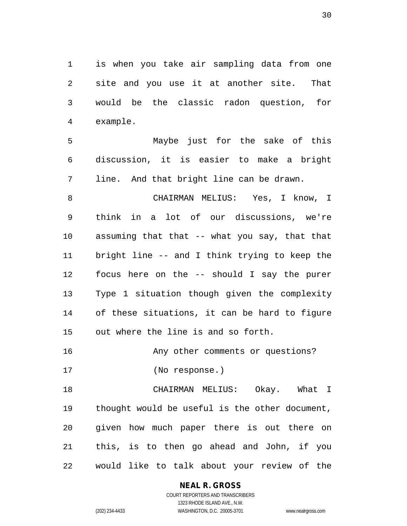is when you take air sampling data from one site and you use it at another site. That would be the classic radon question, for example.

 Maybe just for the sake of this discussion, it is easier to make a bright line. And that bright line can be drawn.

 CHAIRMAN MELIUS: Yes, I know, I think in a lot of our discussions, we're assuming that that -- what you say, that that bright line -- and I think trying to keep the focus here on the -- should I say the purer Type 1 situation though given the complexity of these situations, it can be hard to figure out where the line is and so forth.

Any other comments or questions?

(No response.)

 CHAIRMAN MELIUS: Okay. What I thought would be useful is the other document, given how much paper there is out there on this, is to then go ahead and John, if you would like to talk about your review of the

### **NEAL R. GROSS**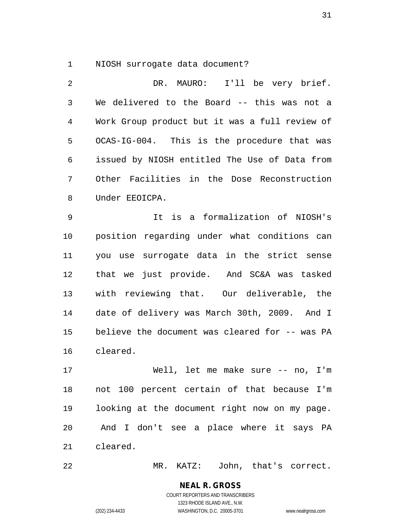NIOSH surrogate data document?

 DR. MAURO: I'll be very brief. We delivered to the Board -- this was not a Work Group product but it was a full review of OCAS-IG-004. This is the procedure that was issued by NIOSH entitled The Use of Data from Other Facilities in the Dose Reconstruction Under EEOICPA.

 It is a formalization of NIOSH's position regarding under what conditions can you use surrogate data in the strict sense that we just provide. And SC&A was tasked with reviewing that. Our deliverable, the date of delivery was March 30th, 2009. And I believe the document was cleared for -- was PA cleared.

 Well, let me make sure -- no, I'm not 100 percent certain of that because I'm looking at the document right now on my page. And I don't see a place where it says PA cleared.

MR. KATZ: John, that's correct.

**NEAL R. GROSS** COURT REPORTERS AND TRANSCRIBERS

1323 RHODE ISLAND AVE., N.W. (202) 234-4433 WASHINGTON, D.C. 20005-3701 www.nealrgross.com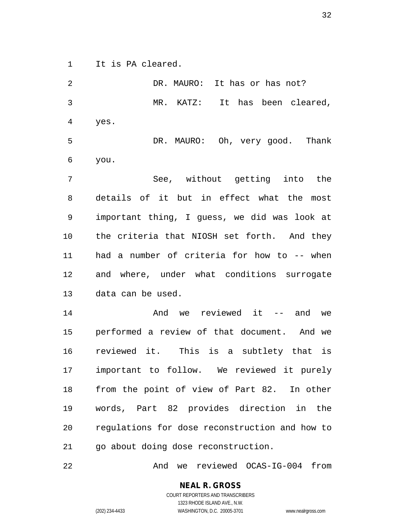It is PA cleared.

2 DR. MAURO: It has or has not? MR. KATZ: It has been cleared, yes. DR. MAURO: Oh, very good. Thank you. See, without getting into the details of it but in effect what the most important thing, I guess, we did was look at the criteria that NIOSH set forth. And they had a number of criteria for how to -- when and where, under what conditions surrogate data can be used. 14 and we reviewed it -- and we performed a review of that document. And we reviewed it. This is a subtlety that is important to follow. We reviewed it purely from the point of view of Part 82. In other words, Part 82 provides direction in the regulations for dose reconstruction and how to go about doing dose reconstruction.

And we reviewed OCAS-IG-004 from

**NEAL R. GROSS** COURT REPORTERS AND TRANSCRIBERS

1323 RHODE ISLAND AVE., N.W.

(202) 234-4433 WASHINGTON, D.C. 20005-3701 www.nealrgross.com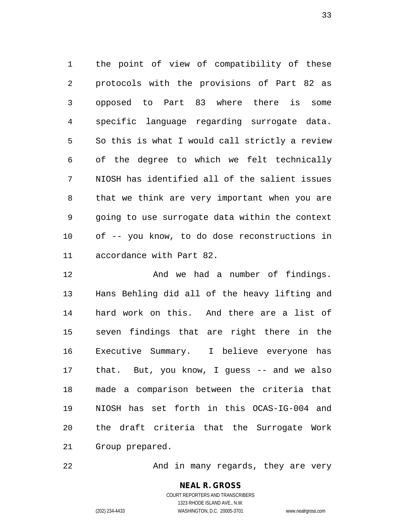the point of view of compatibility of these protocols with the provisions of Part 82 as opposed to Part 83 where there is some specific language regarding surrogate data. So this is what I would call strictly a review of the degree to which we felt technically NIOSH has identified all of the salient issues that we think are very important when you are going to use surrogate data within the context of -- you know, to do dose reconstructions in accordance with Part 82.

 And we had a number of findings. Hans Behling did all of the heavy lifting and hard work on this. And there are a list of seven findings that are right there in the Executive Summary. I believe everyone has that. But, you know, I guess -- and we also made a comparison between the criteria that NIOSH has set forth in this OCAS-IG-004 and the draft criteria that the Surrogate Work Group prepared.

22 And in many regards, they are very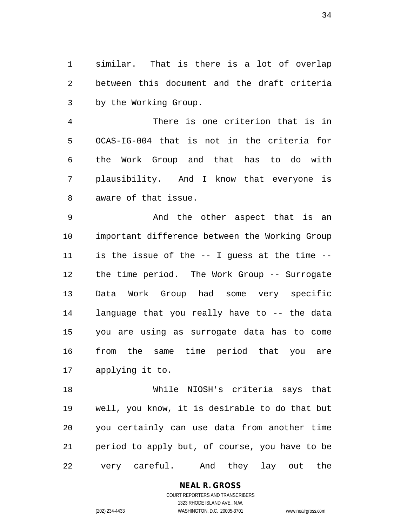similar. That is there is a lot of overlap between this document and the draft criteria by the Working Group.

 There is one criterion that is in OCAS-IG-004 that is not in the criteria for the Work Group and that has to do with plausibility. And I know that everyone is aware of that issue.

 And the other aspect that is an important difference between the Working Group is the issue of the -- I guess at the time -- the time period. The Work Group -- Surrogate Data Work Group had some very specific language that you really have to -- the data you are using as surrogate data has to come from the same time period that you are applying it to.

 While NIOSH's criteria says that well, you know, it is desirable to do that but you certainly can use data from another time period to apply but, of course, you have to be very careful. And they lay out the

> **NEAL R. GROSS** COURT REPORTERS AND TRANSCRIBERS 1323 RHODE ISLAND AVE., N.W.

(202) 234-4433 WASHINGTON, D.C. 20005-3701 www.nealrgross.com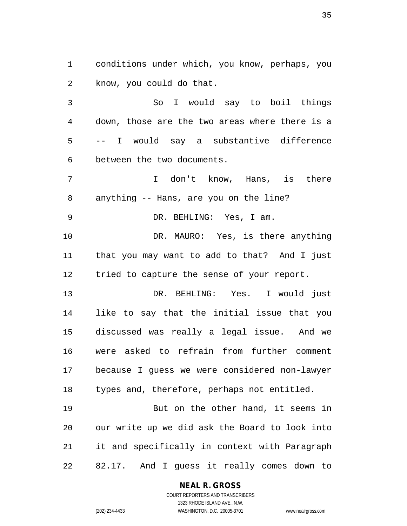conditions under which, you know, perhaps, you know, you could do that.

 So I would say to boil things down, those are the two areas where there is a -- I would say a substantive difference between the two documents.

 I don't know, Hans, is there anything -- Hans, are you on the line?

DR. BEHLING: Yes, I am.

10 DR. MAURO: Yes, is there anything that you may want to add to that? And I just 12 tried to capture the sense of your report.

 DR. BEHLING: Yes. I would just like to say that the initial issue that you discussed was really a legal issue. And we were asked to refrain from further comment because I guess we were considered non-lawyer types and, therefore, perhaps not entitled.

 But on the other hand, it seems in our write up we did ask the Board to look into it and specifically in context with Paragraph 82.17. And I guess it really comes down to

#### **NEAL R. GROSS**

COURT REPORTERS AND TRANSCRIBERS 1323 RHODE ISLAND AVE., N.W. (202) 234-4433 WASHINGTON, D.C. 20005-3701 www.nealrgross.com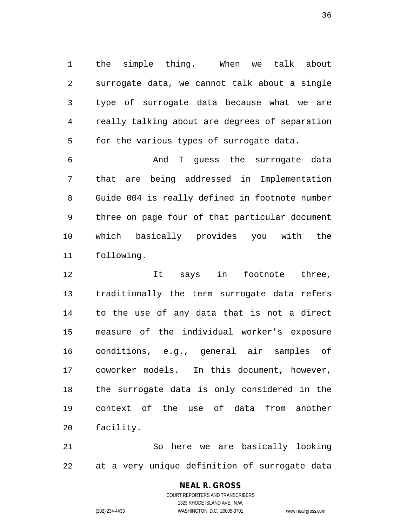the simple thing. When we talk about surrogate data, we cannot talk about a single type of surrogate data because what we are really talking about are degrees of separation for the various types of surrogate data.

 And I guess the surrogate data that are being addressed in Implementation Guide 004 is really defined in footnote number three on page four of that particular document which basically provides you with the following.

12 12 It says in footnote three, traditionally the term surrogate data refers to the use of any data that is not a direct measure of the individual worker's exposure conditions, e.g., general air samples of coworker models. In this document, however, the surrogate data is only considered in the context of the use of data from another facility.

 So here we are basically looking at a very unique definition of surrogate data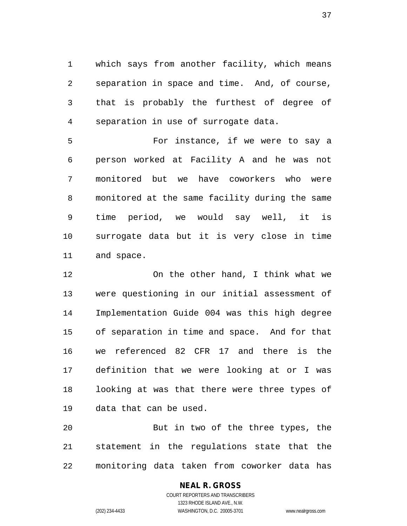which says from another facility, which means separation in space and time. And, of course, that is probably the furthest of degree of separation in use of surrogate data.

 For instance, if we were to say a person worked at Facility A and he was not monitored but we have coworkers who were monitored at the same facility during the same time period, we would say well, it is surrogate data but it is very close in time and space.

 On the other hand, I think what we were questioning in our initial assessment of Implementation Guide 004 was this high degree of separation in time and space. And for that we referenced 82 CFR 17 and there is the definition that we were looking at or I was looking at was that there were three types of data that can be used.

 But in two of the three types, the statement in the regulations state that the monitoring data taken from coworker data has

## **NEAL R. GROSS**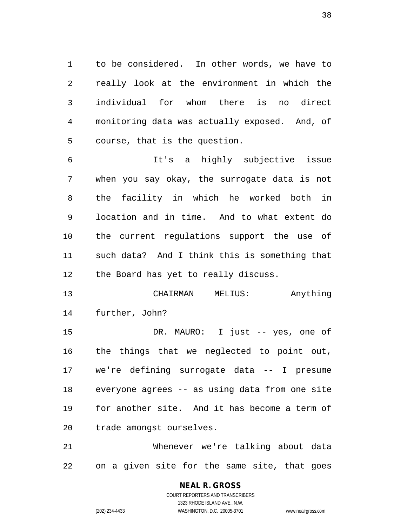to be considered. In other words, we have to really look at the environment in which the individual for whom there is no direct monitoring data was actually exposed. And, of course, that is the question.

 It's a highly subjective issue when you say okay, the surrogate data is not the facility in which he worked both in location and in time. And to what extent do the current regulations support the use of such data? And I think this is something that the Board has yet to really discuss.

 CHAIRMAN MELIUS: Anything further, John?

 DR. MAURO: I just -- yes, one of the things that we neglected to point out, we're defining surrogate data -- I presume everyone agrees -- as using data from one site for another site. And it has become a term of trade amongst ourselves.

 Whenever we're talking about data on a given site for the same site, that goes

# **NEAL R. GROSS**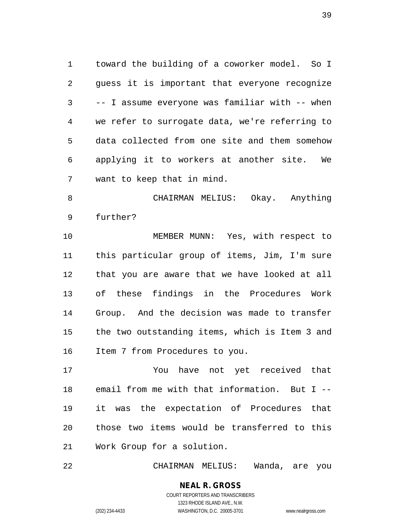toward the building of a coworker model. So I guess it is important that everyone recognize -- I assume everyone was familiar with -- when we refer to surrogate data, we're referring to data collected from one site and them somehow applying it to workers at another site. We want to keep that in mind.

 CHAIRMAN MELIUS: Okay. Anything further?

 MEMBER MUNN: Yes, with respect to this particular group of items, Jim, I'm sure that you are aware that we have looked at all of these findings in the Procedures Work Group. And the decision was made to transfer the two outstanding items, which is Item 3 and Item 7 from Procedures to you.

 You have not yet received that email from me with that information. But I -- it was the expectation of Procedures that those two items would be transferred to this Work Group for a solution.

CHAIRMAN MELIUS: Wanda, are you

**NEAL R. GROSS** COURT REPORTERS AND TRANSCRIBERS 1323 RHODE ISLAND AVE., N.W.

(202) 234-4433 WASHINGTON, D.C. 20005-3701 www.nealrgross.com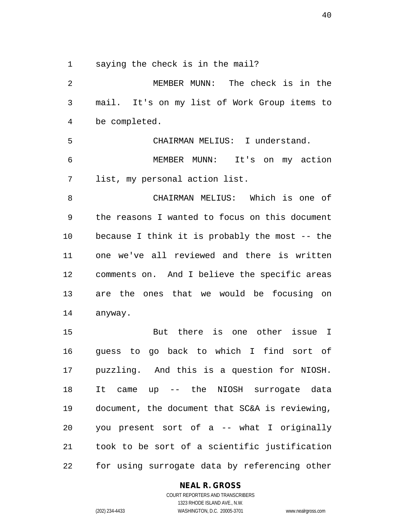saying the check is in the mail?

 MEMBER MUNN: The check is in the mail. It's on my list of Work Group items to be completed. CHAIRMAN MELIUS: I understand. MEMBER MUNN: It's on my action list, my personal action list. CHAIRMAN MELIUS: Which is one of the reasons I wanted to focus on this document because I think it is probably the most -- the one we've all reviewed and there is written comments on. And I believe the specific areas are the ones that we would be focusing on anyway. But there is one other issue I guess to go back to which I find sort of puzzling. And this is a question for NIOSH. It came up -- the NIOSH surrogate data document, the document that SC&A is reviewing, you present sort of a -- what I originally

 took to be sort of a scientific justification for using surrogate data by referencing other

### **NEAL R. GROSS**

COURT REPORTERS AND TRANSCRIBERS 1323 RHODE ISLAND AVE., N.W. (202) 234-4433 WASHINGTON, D.C. 20005-3701 www.nealrgross.com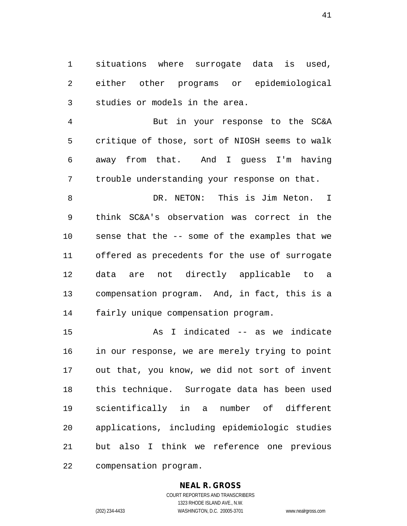situations where surrogate data is used, either other programs or epidemiological studies or models in the area.

 But in your response to the SC&A critique of those, sort of NIOSH seems to walk away from that. And I guess I'm having trouble understanding your response on that.

 DR. NETON: This is Jim Neton. I think SC&A's observation was correct in the sense that the -- some of the examples that we offered as precedents for the use of surrogate data are not directly applicable to a compensation program. And, in fact, this is a fairly unique compensation program.

 As I indicated -- as we indicate in our response, we are merely trying to point out that, you know, we did not sort of invent this technique. Surrogate data has been used scientifically in a number of different applications, including epidemiologic studies but also I think we reference one previous compensation program.

### **NEAL R. GROSS**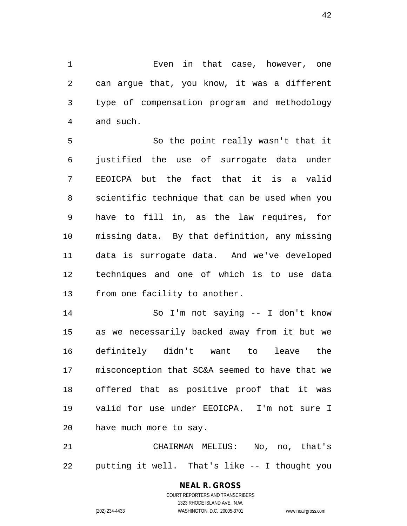Even in that case, however, one can argue that, you know, it was a different type of compensation program and methodology and such.

 So the point really wasn't that it justified the use of surrogate data under EEOICPA but the fact that it is a valid scientific technique that can be used when you have to fill in, as the law requires, for missing data. By that definition, any missing data is surrogate data. And we've developed techniques and one of which is to use data from one facility to another.

 So I'm not saying -- I don't know as we necessarily backed away from it but we definitely didn't want to leave the misconception that SC&A seemed to have that we offered that as positive proof that it was valid for use under EEOICPA. I'm not sure I have much more to say.

 CHAIRMAN MELIUS: No, no, that's putting it well. That's like -- I thought you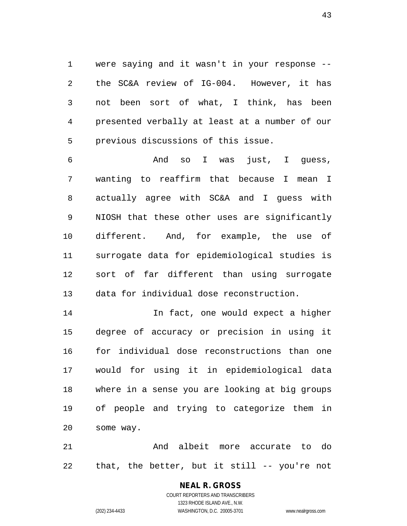were saying and it wasn't in your response -- the SC&A review of IG-004. However, it has not been sort of what, I think, has been presented verbally at least at a number of our previous discussions of this issue.

 And so I was just, I guess, wanting to reaffirm that because I mean I actually agree with SC&A and I guess with NIOSH that these other uses are significantly different. And, for example, the use of surrogate data for epidemiological studies is sort of far different than using surrogate data for individual dose reconstruction.

 In fact, one would expect a higher degree of accuracy or precision in using it for individual dose reconstructions than one would for using it in epidemiological data where in a sense you are looking at big groups of people and trying to categorize them in some way.

 And albeit more accurate to do that, the better, but it still -- you're not

# **NEAL R. GROSS**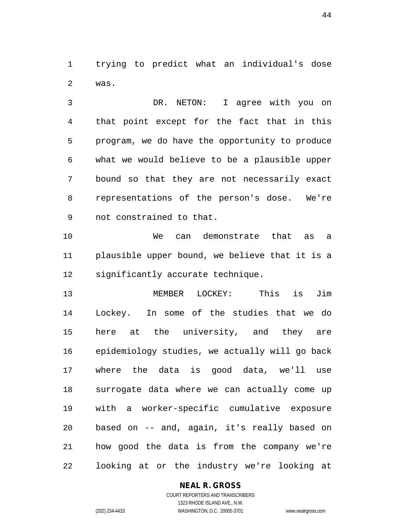trying to predict what an individual's dose was.

 DR. NETON: I agree with you on that point except for the fact that in this program, we do have the opportunity to produce what we would believe to be a plausible upper bound so that they are not necessarily exact representations of the person's dose. We're not constrained to that.

 We can demonstrate that as a plausible upper bound, we believe that it is a significantly accurate technique.

 MEMBER LOCKEY: This is Jim Lockey. In some of the studies that we do here at the university, and they are epidemiology studies, we actually will go back where the data is good data, we'll use surrogate data where we can actually come up with a worker-specific cumulative exposure based on -- and, again, it's really based on how good the data is from the company we're looking at or the industry we're looking at

#### **NEAL R. GROSS**

COURT REPORTERS AND TRANSCRIBERS 1323 RHODE ISLAND AVE., N.W. (202) 234-4433 WASHINGTON, D.C. 20005-3701 www.nealrgross.com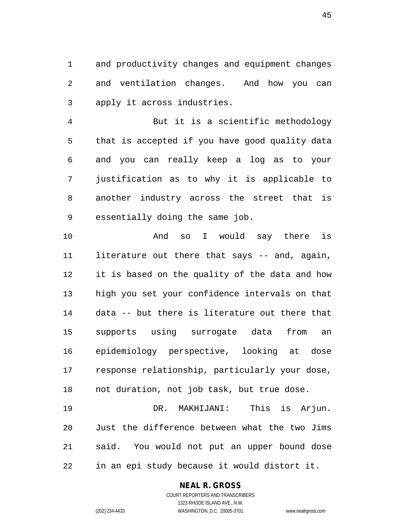and productivity changes and equipment changes and ventilation changes. And how you can apply it across industries.

 But it is a scientific methodology that is accepted if you have good quality data and you can really keep a log as to your justification as to why it is applicable to another industry across the street that is essentially doing the same job.

 And so I would say there is literature out there that says -- and, again, it is based on the quality of the data and how high you set your confidence intervals on that data -- but there is literature out there that supports using surrogate data from an epidemiology perspective, looking at dose response relationship, particularly your dose, not duration, not job task, but true dose.

 DR. MAKHIJANI: This is Arjun. Just the difference between what the two Jims said. You would not put an upper bound dose in an epi study because it would distort it.

#### **NEAL R. GROSS**

COURT REPORTERS AND TRANSCRIBERS 1323 RHODE ISLAND AVE., N.W. (202) 234-4433 WASHINGTON, D.C. 20005-3701 www.nealrgross.com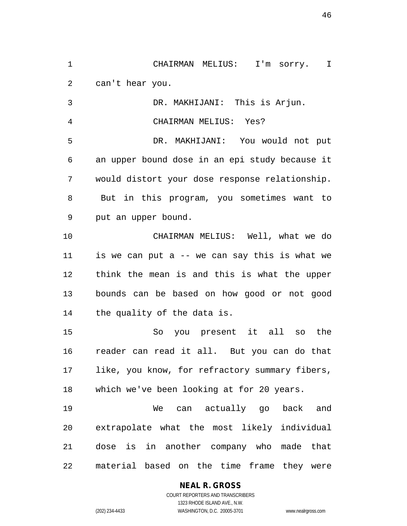CHAIRMAN MELIUS: I'm sorry. I can't hear you. DR. MAKHIJANI: This is Arjun. CHAIRMAN MELIUS: Yes? DR. MAKHIJANI: You would not put an upper bound dose in an epi study because it would distort your dose response relationship. But in this program, you sometimes want to put an upper bound. CHAIRMAN MELIUS: Well, what we do is we can put a -- we can say this is what we think the mean is and this is what the upper bounds can be based on how good or not good the quality of the data is. So you present it all so the reader can read it all. But you can do that like, you know, for refractory summary fibers, which we've been looking at for 20 years.

 We can actually go back and extrapolate what the most likely individual dose is in another company who made that material based on the time frame they were

# **NEAL R. GROSS**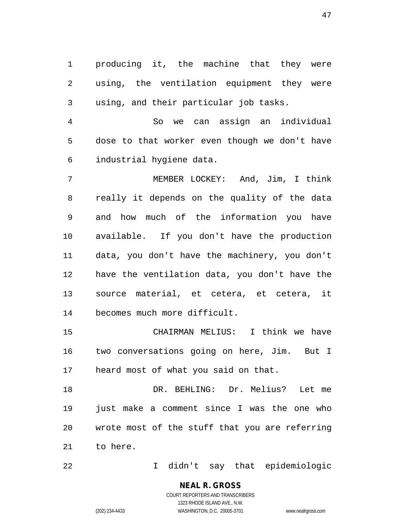producing it, the machine that they were using, the ventilation equipment they were using, and their particular job tasks.

 So we can assign an individual dose to that worker even though we don't have industrial hygiene data.

 MEMBER LOCKEY: And, Jim, I think really it depends on the quality of the data and how much of the information you have available. If you don't have the production data, you don't have the machinery, you don't have the ventilation data, you don't have the source material, et cetera, et cetera, it becomes much more difficult.

 CHAIRMAN MELIUS: I think we have two conversations going on here, Jim. But I heard most of what you said on that.

 DR. BEHLING: Dr. Melius? Let me just make a comment since I was the one who wrote most of the stuff that you are referring to here.

I didn't say that epidemiologic

# **NEAL R. GROSS**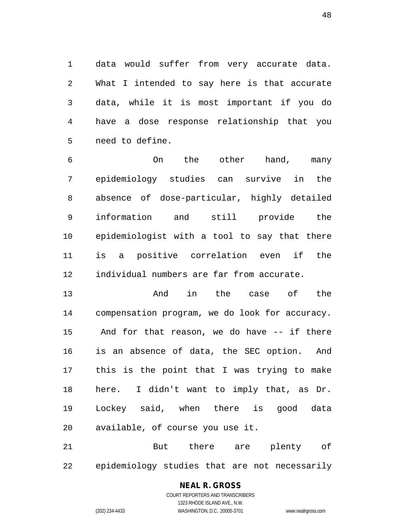data would suffer from very accurate data. What I intended to say here is that accurate data, while it is most important if you do have a dose response relationship that you need to define.

 On the other hand, many epidemiology studies can survive in the absence of dose-particular, highly detailed information and still provide the epidemiologist with a tool to say that there is a positive correlation even if the individual numbers are far from accurate.

 And in the case of the compensation program, we do look for accuracy. And for that reason, we do have -- if there is an absence of data, the SEC option. And this is the point that I was trying to make here. I didn't want to imply that, as Dr. Lockey said, when there is good data available, of course you use it.

21 But there are plenty of epidemiology studies that are not necessarily

# **NEAL R. GROSS**

COURT REPORTERS AND TRANSCRIBERS 1323 RHODE ISLAND AVE., N.W. (202) 234-4433 WASHINGTON, D.C. 20005-3701 www.nealrgross.com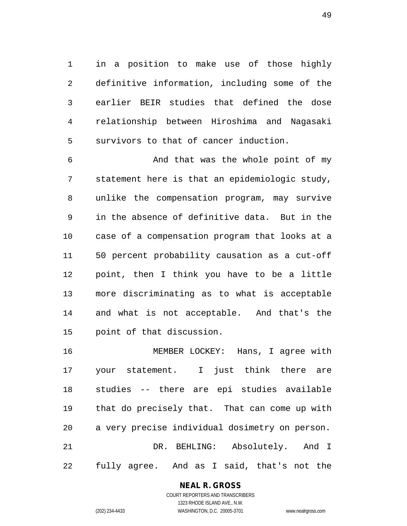in a position to make use of those highly definitive information, including some of the earlier BEIR studies that defined the dose relationship between Hiroshima and Nagasaki survivors to that of cancer induction.

 And that was the whole point of my statement here is that an epidemiologic study, unlike the compensation program, may survive in the absence of definitive data. But in the case of a compensation program that looks at a 50 percent probability causation as a cut-off point, then I think you have to be a little more discriminating as to what is acceptable and what is not acceptable. And that's the point of that discussion.

 MEMBER LOCKEY: Hans, I agree with your statement. I just think there are studies -- there are epi studies available that do precisely that. That can come up with a very precise individual dosimetry on person. DR. BEHLING: Absolutely. And I fully agree. And as I said, that's not the

> **NEAL R. GROSS** COURT REPORTERS AND TRANSCRIBERS

1323 RHODE ISLAND AVE., N.W. (202) 234-4433 WASHINGTON, D.C. 20005-3701 www.nealrgross.com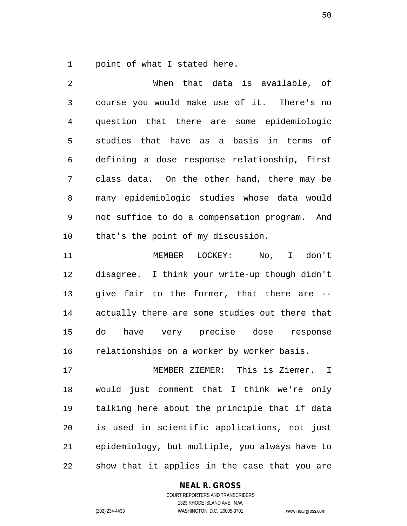point of what I stated here.

 When that data is available, of course you would make use of it. There's no question that there are some epidemiologic studies that have as a basis in terms of defining a dose response relationship, first class data. On the other hand, there may be many epidemiologic studies whose data would not suffice to do a compensation program. And that's the point of my discussion.

 MEMBER LOCKEY: No, I don't disagree. I think your write-up though didn't give fair to the former, that there are -- actually there are some studies out there that do have very precise dose response relationships on a worker by worker basis.

 MEMBER ZIEMER: This is Ziemer. I would just comment that I think we're only talking here about the principle that if data is used in scientific applications, not just epidemiology, but multiple, you always have to show that it applies in the case that you are

#### **NEAL R. GROSS**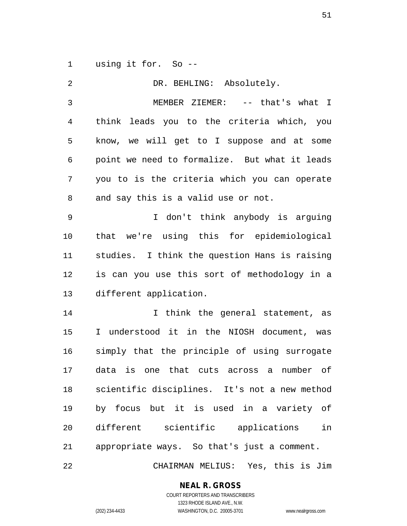using it for. So --

 DR. BEHLING: Absolutely. MEMBER ZIEMER: -- that's what I think leads you to the criteria which, you know, we will get to I suppose and at some point we need to formalize. But what it leads you to is the criteria which you can operate and say this is a valid use or not. I don't think anybody is arguing that we're using this for epidemiological studies. I think the question Hans is raising is can you use this sort of methodology in a different application. I think the general statement, as I understood it in the NIOSH document, was simply that the principle of using surrogate data is one that cuts across a number of scientific disciplines. It's not a new method by focus but it is used in a variety of different scientific applications in appropriate ways. So that's just a comment. CHAIRMAN MELIUS: Yes, this is Jim

**NEAL R. GROSS**

COURT REPORTERS AND TRANSCRIBERS 1323 RHODE ISLAND AVE., N.W. (202) 234-4433 WASHINGTON, D.C. 20005-3701 www.nealrgross.com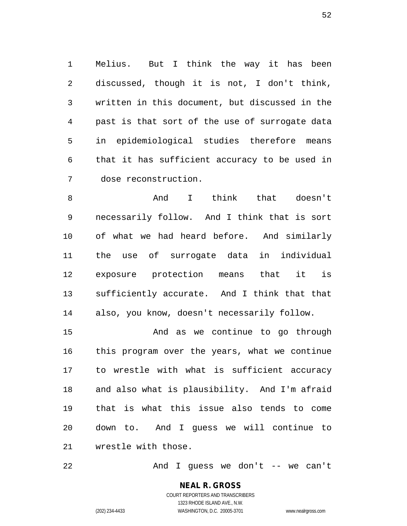Melius. But I think the way it has been discussed, though it is not, I don't think, written in this document, but discussed in the past is that sort of the use of surrogate data in epidemiological studies therefore means that it has sufficient accuracy to be used in dose reconstruction.

 And I think that doesn't necessarily follow. And I think that is sort of what we had heard before. And similarly the use of surrogate data in individual exposure protection means that it is sufficiently accurate. And I think that that also, you know, doesn't necessarily follow.

 And as we continue to go through this program over the years, what we continue to wrestle with what is sufficient accuracy and also what is plausibility. And I'm afraid that is what this issue also tends to come down to. And I guess we will continue to wrestle with those.

And I guess we don't -- we can't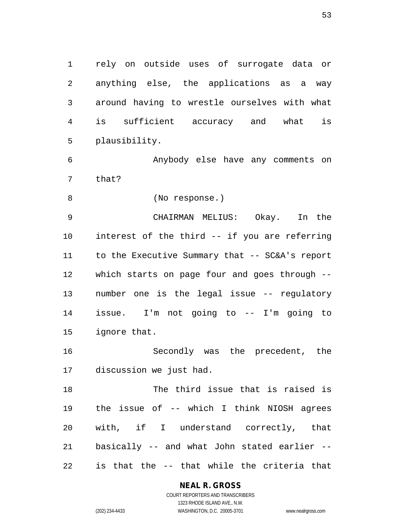rely on outside uses of surrogate data or anything else, the applications as a way around having to wrestle ourselves with what is sufficient accuracy and what is plausibility.

 Anybody else have any comments on that?

(No response.)

 CHAIRMAN MELIUS: Okay. In the interest of the third -- if you are referring to the Executive Summary that -- SC&A's report which starts on page four and goes through -- number one is the legal issue -- regulatory issue. I'm not going to -- I'm going to ignore that.

 Secondly was the precedent, the discussion we just had.

 The third issue that is raised is the issue of -- which I think NIOSH agrees with, if I understand correctly, that basically -- and what John stated earlier -- is that the -- that while the criteria that

#### **NEAL R. GROSS** COURT REPORTERS AND TRANSCRIBERS

1323 RHODE ISLAND AVE., N.W. (202) 234-4433 WASHINGTON, D.C. 20005-3701 www.nealrgross.com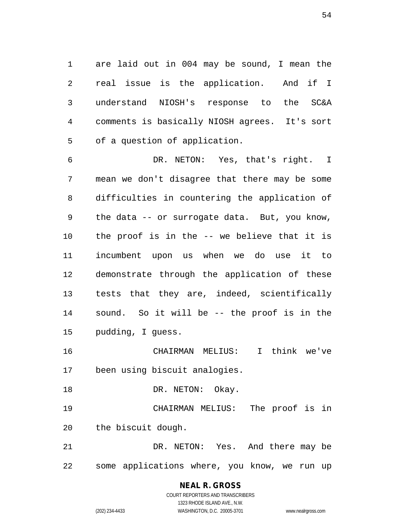are laid out in 004 may be sound, I mean the real issue is the application. And if I understand NIOSH's response to the SC&A comments is basically NIOSH agrees. It's sort of a question of application.

 DR. NETON: Yes, that's right. I mean we don't disagree that there may be some difficulties in countering the application of the data -- or surrogate data. But, you know, the proof is in the -- we believe that it is incumbent upon us when we do use it to demonstrate through the application of these tests that they are, indeed, scientifically sound. So it will be -- the proof is in the pudding, I guess.

 CHAIRMAN MELIUS: I think we've been using biscuit analogies.

18 DR. NETON: Okay.

 CHAIRMAN MELIUS: The proof is in the biscuit dough.

 DR. NETON: Yes. And there may be some applications where, you know, we run up

# **NEAL R. GROSS**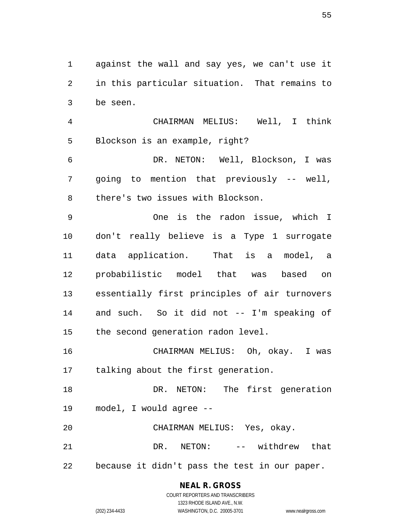against the wall and say yes, we can't use it in this particular situation. That remains to be seen.

 CHAIRMAN MELIUS: Well, I think Blockson is an example, right?

 DR. NETON: Well, Blockson, I was going to mention that previously -- well, there's two issues with Blockson.

 One is the radon issue, which I don't really believe is a Type 1 surrogate data application. That is a model, a probabilistic model that was based on essentially first principles of air turnovers and such. So it did not -- I'm speaking of the second generation radon level.

 CHAIRMAN MELIUS: Oh, okay. I was talking about the first generation.

 DR. NETON: The first generation model, I would agree --

CHAIRMAN MELIUS: Yes, okay.

21 DR. NETON: -- withdrew that because it didn't pass the test in our paper.

> **NEAL R. GROSS** COURT REPORTERS AND TRANSCRIBERS

> > 1323 RHODE ISLAND AVE., N.W.

(202) 234-4433 WASHINGTON, D.C. 20005-3701 www.nealrgross.com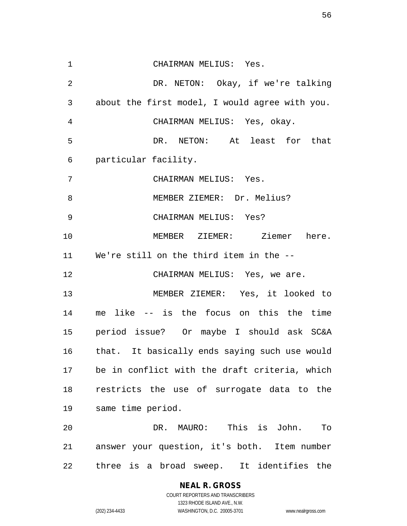CHAIRMAN MELIUS: Yes. DR. NETON: Okay, if we're talking about the first model, I would agree with you. CHAIRMAN MELIUS: Yes, okay. DR. NETON: At least for that particular facility. CHAIRMAN MELIUS: Yes. 8 MEMBER ZIEMER: Dr. Melius? CHAIRMAN MELIUS: Yes? MEMBER ZIEMER: Ziemer here. We're still on the third item in the -- 12 CHAIRMAN MELIUS: Yes, we are. MEMBER ZIEMER: Yes, it looked to me like -- is the focus on this the time period issue? Or maybe I should ask SC&A that. It basically ends saying such use would be in conflict with the draft criteria, which restricts the use of surrogate data to the same time period. DR. MAURO: This is John. To answer your question, it's both. Item number three is a broad sweep. It identifies the

> **NEAL R. GROSS** COURT REPORTERS AND TRANSCRIBERS

1323 RHODE ISLAND AVE., N.W. (202) 234-4433 WASHINGTON, D.C. 20005-3701 www.nealrgross.com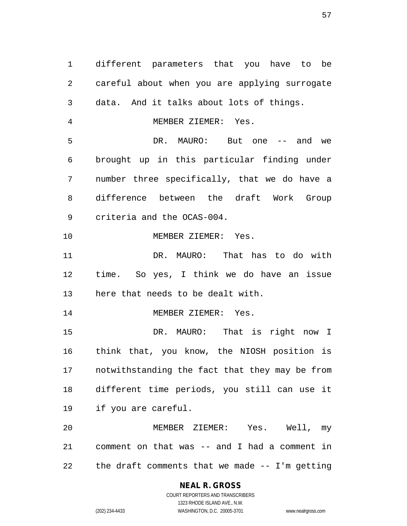different parameters that you have to be careful about when you are applying surrogate data. And it talks about lots of things. MEMBER ZIEMER: Yes. 5 DR. MAURO: But one -- and we brought up in this particular finding under number three specifically, that we do have a difference between the draft Work Group criteria and the OCAS-004. 10 MEMBER ZIEMER: Yes. DR. MAURO: That has to do with time. So yes, I think we do have an issue here that needs to be dealt with. 14 MEMBER ZIEMER: Yes. DR. MAURO: That is right now I think that, you know, the NIOSH position is notwithstanding the fact that they may be from different time periods, you still can use it if you are careful. MEMBER ZIEMER: Yes. Well, my comment on that was -- and I had a comment in

the draft comments that we made -- I'm getting

#### **NEAL R. GROSS** COURT REPORTERS AND TRANSCRIBERS

1323 RHODE ISLAND AVE., N.W. (202) 234-4433 WASHINGTON, D.C. 20005-3701 www.nealrgross.com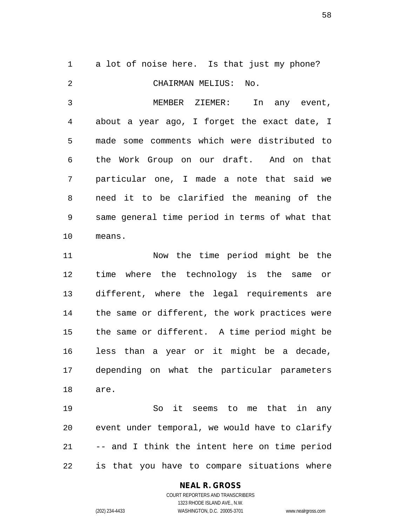a lot of noise here. Is that just my phone? CHAIRMAN MELIUS: No. MEMBER ZIEMER: In any event, about a year ago, I forget the exact date, I made some comments which were distributed to the Work Group on our draft. And on that particular one, I made a note that said we need it to be clarified the meaning of the same general time period in terms of what that means.

 Now the time period might be the time where the technology is the same or different, where the legal requirements are the same or different, the work practices were the same or different. A time period might be less than a year or it might be a decade, depending on what the particular parameters are.

 So it seems to me that in any event under temporal, we would have to clarify -- and I think the intent here on time period is that you have to compare situations where

#### **NEAL R. GROSS** COURT REPORTERS AND TRANSCRIBERS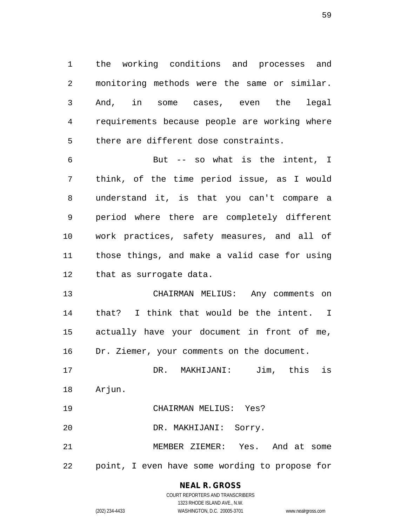the working conditions and processes and monitoring methods were the same or similar. And, in some cases, even the legal requirements because people are working where there are different dose constraints.

 But -- so what is the intent, I think, of the time period issue, as I would understand it, is that you can't compare a period where there are completely different work practices, safety measures, and all of those things, and make a valid case for using that as surrogate data.

 CHAIRMAN MELIUS: Any comments on that? I think that would be the intent. I actually have your document in front of me, Dr. Ziemer, your comments on the document.

 DR. MAKHIJANI: Jim, this is Arjun.

CHAIRMAN MELIUS: Yes?

DR. MAKHIJANI: Sorry.

 MEMBER ZIEMER: Yes. And at some point, I even have some wording to propose for

# **NEAL R. GROSS**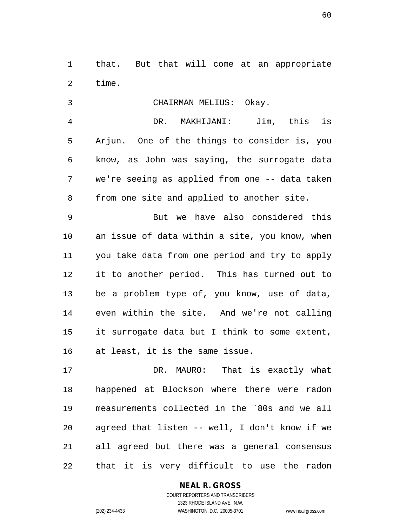that. But that will come at an appropriate time.

CHAIRMAN MELIUS: Okay.

 DR. MAKHIJANI: Jim, this is Arjun. One of the things to consider is, you know, as John was saying, the surrogate data we're seeing as applied from one -- data taken from one site and applied to another site.

 But we have also considered this an issue of data within a site, you know, when you take data from one period and try to apply it to another period. This has turned out to be a problem type of, you know, use of data, even within the site. And we're not calling it surrogate data but I think to some extent, at least, it is the same issue.

 DR. MAURO: That is exactly what happened at Blockson where there were radon measurements collected in the `80s and we all agreed that listen -- well, I don't know if we all agreed but there was a general consensus that it is very difficult to use the radon

## **NEAL R. GROSS**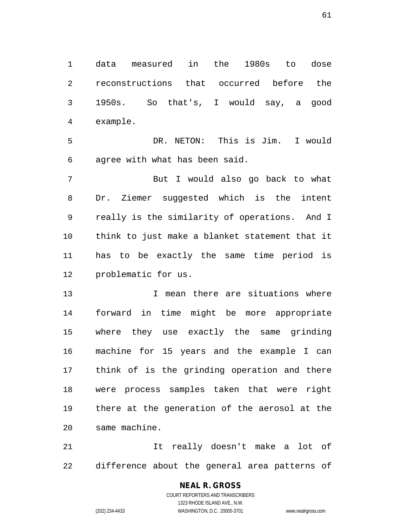data measured in the 1980s to dose reconstructions that occurred before the 1950s. So that's, I would say, a good example.

 DR. NETON: This is Jim. I would agree with what has been said.

 But I would also go back to what Dr. Ziemer suggested which is the intent really is the similarity of operations. And I think to just make a blanket statement that it has to be exactly the same time period is problematic for us.

 I mean there are situations where forward in time might be more appropriate where they use exactly the same grinding machine for 15 years and the example I can think of is the grinding operation and there were process samples taken that were right there at the generation of the aerosol at the same machine.

 It really doesn't make a lot of difference about the general area patterns of

### **NEAL R. GROSS** COURT REPORTERS AND TRANSCRIBERS 1323 RHODE ISLAND AVE., N.W. (202) 234-4433 WASHINGTON, D.C. 20005-3701 www.nealrgross.com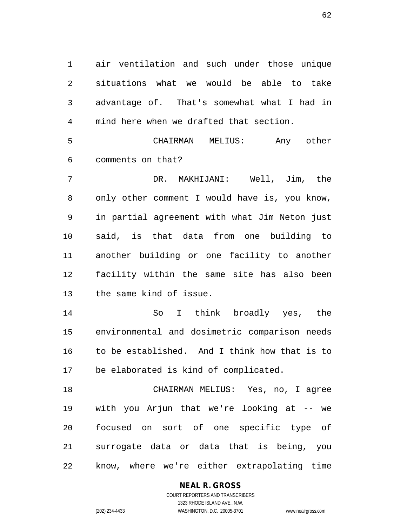air ventilation and such under those unique situations what we would be able to take advantage of. That's somewhat what I had in mind here when we drafted that section.

 CHAIRMAN MELIUS: Any other comments on that?

 DR. MAKHIJANI: Well, Jim, the 8 only other comment I would have is, you know, in partial agreement with what Jim Neton just said, is that data from one building to another building or one facility to another facility within the same site has also been the same kind of issue.

 So I think broadly yes, the environmental and dosimetric comparison needs to be established. And I think how that is to be elaborated is kind of complicated.

 CHAIRMAN MELIUS: Yes, no, I agree with you Arjun that we're looking at -- we focused on sort of one specific type of surrogate data or data that is being, you know, where we're either extrapolating time

### **NEAL R. GROSS**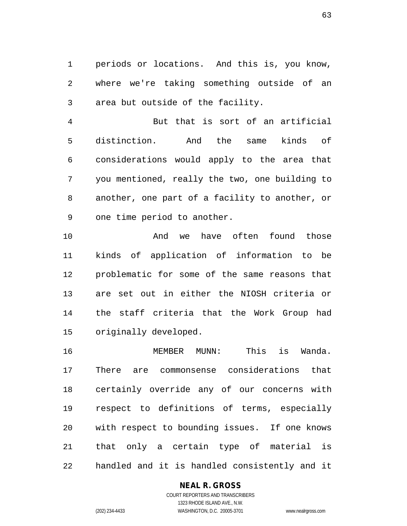periods or locations. And this is, you know, where we're taking something outside of an area but outside of the facility.

 But that is sort of an artificial distinction. And the same kinds of considerations would apply to the area that you mentioned, really the two, one building to another, one part of a facility to another, or one time period to another.

 And we have often found those kinds of application of information to be problematic for some of the same reasons that are set out in either the NIOSH criteria or the staff criteria that the Work Group had originally developed.

 MEMBER MUNN: This is Wanda. There are commonsense considerations that certainly override any of our concerns with respect to definitions of terms, especially with respect to bounding issues. If one knows that only a certain type of material is handled and it is handled consistently and it

### **NEAL R. GROSS**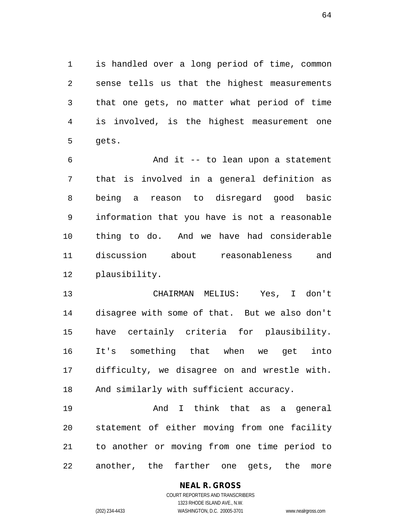is handled over a long period of time, common sense tells us that the highest measurements that one gets, no matter what period of time is involved, is the highest measurement one gets.

 And it -- to lean upon a statement that is involved in a general definition as being a reason to disregard good basic information that you have is not a reasonable thing to do. And we have had considerable discussion about reasonableness and plausibility.

 CHAIRMAN MELIUS: Yes, I don't disagree with some of that. But we also don't have certainly criteria for plausibility. It's something that when we get into difficulty, we disagree on and wrestle with. And similarly with sufficient accuracy.

 And I think that as a general statement of either moving from one facility to another or moving from one time period to another, the farther one gets, the more

# **NEAL R. GROSS**

COURT REPORTERS AND TRANSCRIBERS 1323 RHODE ISLAND AVE., N.W. (202) 234-4433 WASHINGTON, D.C. 20005-3701 www.nealrgross.com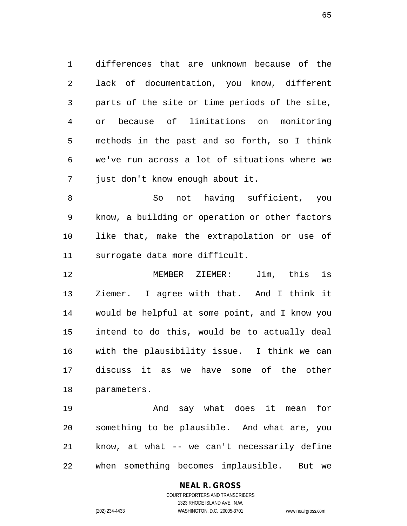differences that are unknown because of the lack of documentation, you know, different parts of the site or time periods of the site, or because of limitations on monitoring methods in the past and so forth, so I think we've run across a lot of situations where we just don't know enough about it.

 So not having sufficient, you know, a building or operation or other factors like that, make the extrapolation or use of surrogate data more difficult.

 MEMBER ZIEMER: Jim, this is Ziemer. I agree with that. And I think it would be helpful at some point, and I know you intend to do this, would be to actually deal with the plausibility issue. I think we can discuss it as we have some of the other parameters.

 And say what does it mean for something to be plausible. And what are, you know, at what -- we can't necessarily define when something becomes implausible. But we

### **NEAL R. GROSS** COURT REPORTERS AND TRANSCRIBERS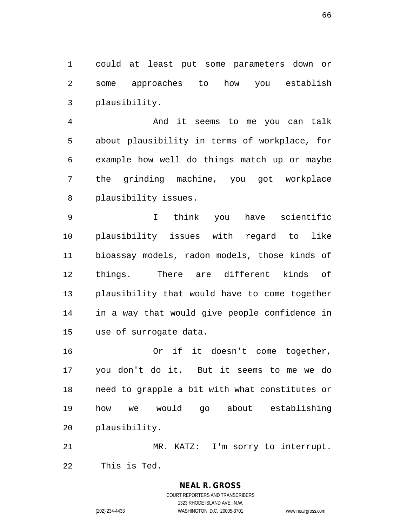could at least put some parameters down or some approaches to how you establish plausibility.

 And it seems to me you can talk about plausibility in terms of workplace, for example how well do things match up or maybe the grinding machine, you got workplace plausibility issues.

 I think you have scientific plausibility issues with regard to like bioassay models, radon models, those kinds of things. There are different kinds of plausibility that would have to come together in a way that would give people confidence in use of surrogate data.

 Or if it doesn't come together, you don't do it. But it seems to me we do need to grapple a bit with what constitutes or how we would go about establishing plausibility.

 MR. KATZ: I'm sorry to interrupt. This is Ted.

> **NEAL R. GROSS** COURT REPORTERS AND TRANSCRIBERS 1323 RHODE ISLAND AVE., N.W. (202) 234-4433 WASHINGTON, D.C. 20005-3701 www.nealrgross.com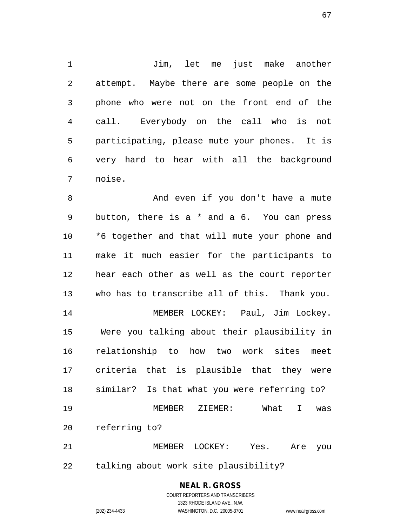1 Jim, let me just make another attempt. Maybe there are some people on the phone who were not on the front end of the call. Everybody on the call who is not participating, please mute your phones. It is very hard to hear with all the background noise.

 And even if you don't have a mute button, there is a \* and a 6. You can press \*6 together and that will mute your phone and make it much easier for the participants to hear each other as well as the court reporter who has to transcribe all of this. Thank you. MEMBER LOCKEY: Paul, Jim Lockey. Were you talking about their plausibility in relationship to how two work sites meet criteria that is plausible that they were similar? Is that what you were referring to? MEMBER ZIEMER: What I was referring to? MEMBER LOCKEY: Yes. Are you

talking about work site plausibility?

**NEAL R. GROSS** COURT REPORTERS AND TRANSCRIBERS

1323 RHODE ISLAND AVE., N.W.

(202) 234-4433 WASHINGTON, D.C. 20005-3701 www.nealrgross.com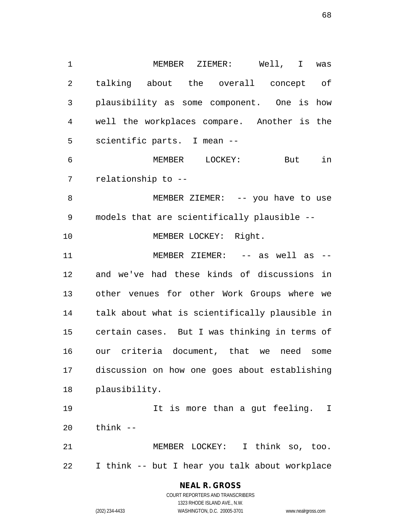MEMBER ZIEMER: Well, I was talking about the overall concept of plausibility as some component. One is how well the workplaces compare. Another is the scientific parts. I mean -- MEMBER LOCKEY: But in relationship to -- MEMBER ZIEMER: -- you have to use models that are scientifically plausible -- 10 MEMBER LOCKEY: Right. 11 MEMBER ZIEMER: -- as well as -- and we've had these kinds of discussions in other venues for other Work Groups where we talk about what is scientifically plausible in certain cases. But I was thinking in terms of our criteria document, that we need some discussion on how one goes about establishing plausibility. It is more than a gut feeling. I think -- MEMBER LOCKEY: I think so, too. I think -- but I hear you talk about workplace

### **NEAL R. GROSS**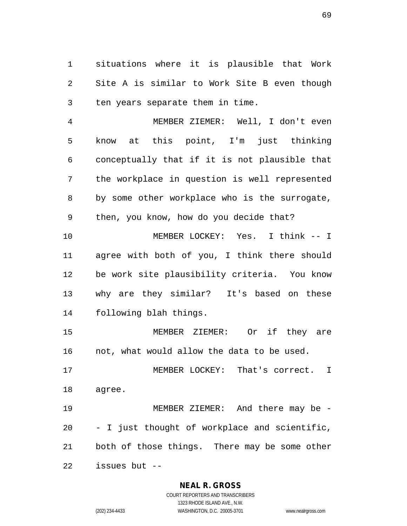situations where it is plausible that Work Site A is similar to Work Site B even though ten years separate them in time.

 MEMBER ZIEMER: Well, I don't even know at this point, I'm just thinking conceptually that if it is not plausible that the workplace in question is well represented by some other workplace who is the surrogate, then, you know, how do you decide that? MEMBER LOCKEY: Yes. I think -- I

 agree with both of you, I think there should be work site plausibility criteria. You know why are they similar? It's based on these following blah things.

 MEMBER ZIEMER: Or if they are not, what would allow the data to be used.

 MEMBER LOCKEY: That's correct. I agree.

 MEMBER ZIEMER: And there may be - - I just thought of workplace and scientific, both of those things. There may be some other issues but --

### **NEAL R. GROSS**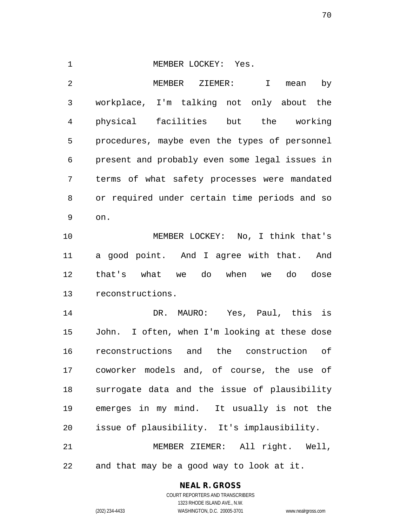1 MEMBER LOCKEY: Yes.

 MEMBER ZIEMER: I mean by workplace, I'm talking not only about the physical facilities but the working procedures, maybe even the types of personnel present and probably even some legal issues in terms of what safety processes were mandated or required under certain time periods and so on.

 MEMBER LOCKEY: No, I think that's a good point. And I agree with that. And that's what we do when we do dose reconstructions.

 DR. MAURO: Yes, Paul, this is John. I often, when I'm looking at these dose reconstructions and the construction of coworker models and, of course, the use of surrogate data and the issue of plausibility emerges in my mind. It usually is not the issue of plausibility. It's implausibility.

 MEMBER ZIEMER: All right. Well, and that may be a good way to look at it.

**NEAL R. GROSS**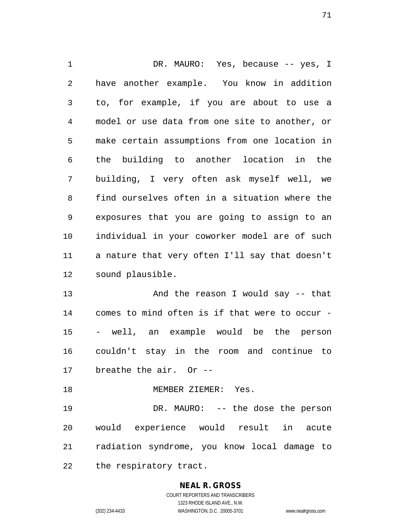1 DR. MAURO: Yes, because -- yes, I have another example. You know in addition to, for example, if you are about to use a model or use data from one site to another, or make certain assumptions from one location in the building to another location in the building, I very often ask myself well, we find ourselves often in a situation where the exposures that you are going to assign to an individual in your coworker model are of such a nature that very often I'll say that doesn't sound plausible. 13 And the reason I would say -- that comes to mind often is if that were to occur - - well, an example would be the person couldn't stay in the room and continue to breathe the air. Or -- MEMBER ZIEMER: Yes. 19 DR. MAURO: -- the dose the person would experience would result in acute radiation syndrome, you know local damage to

the respiratory tract.

# **NEAL R. GROSS**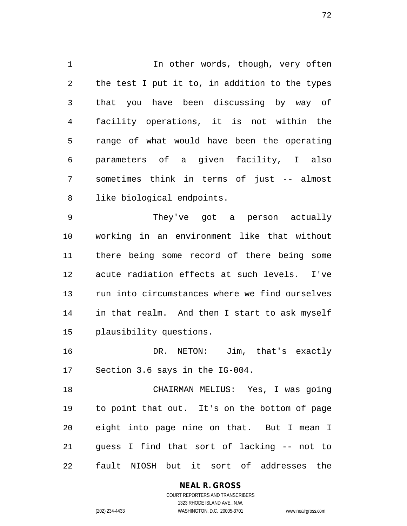1 1 In other words, though, very often the test I put it to, in addition to the types that you have been discussing by way of facility operations, it is not within the range of what would have been the operating parameters of a given facility, I also sometimes think in terms of just -- almost like biological endpoints.

 They've got a person actually working in an environment like that without there being some record of there being some acute radiation effects at such levels. I've run into circumstances where we find ourselves in that realm. And then I start to ask myself plausibility questions.

 DR. NETON: Jim, that's exactly Section 3.6 says in the IG-004.

 CHAIRMAN MELIUS: Yes, I was going to point that out. It's on the bottom of page eight into page nine on that. But I mean I guess I find that sort of lacking -- not to fault NIOSH but it sort of addresses the

### **NEAL R. GROSS**

COURT REPORTERS AND TRANSCRIBERS 1323 RHODE ISLAND AVE., N.W. (202) 234-4433 WASHINGTON, D.C. 20005-3701 www.nealrgross.com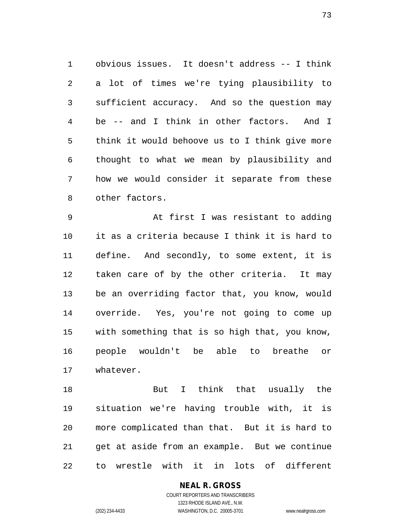obvious issues. It doesn't address -- I think a lot of times we're tying plausibility to sufficient accuracy. And so the question may be -- and I think in other factors. And I think it would behoove us to I think give more thought to what we mean by plausibility and how we would consider it separate from these other factors.

 At first I was resistant to adding it as a criteria because I think it is hard to define. And secondly, to some extent, it is taken care of by the other criteria. It may be an overriding factor that, you know, would override. Yes, you're not going to come up with something that is so high that, you know, people wouldn't be able to breathe or whatever.

18 But I think that usually the situation we're having trouble with, it is more complicated than that. But it is hard to get at aside from an example. But we continue to wrestle with it in lots of different

> **NEAL R. GROSS** COURT REPORTERS AND TRANSCRIBERS 1323 RHODE ISLAND AVE., N.W. (202) 234-4433 WASHINGTON, D.C. 20005-3701 www.nealrgross.com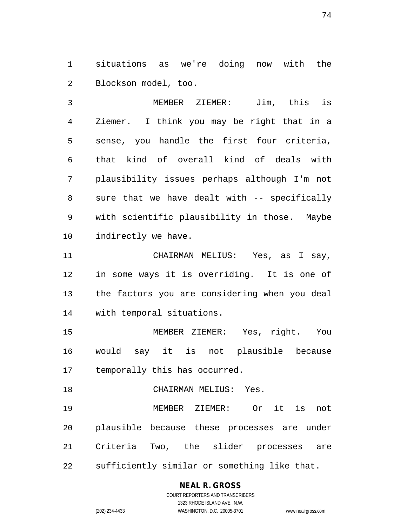situations as we're doing now with the Blockson model, too.

 MEMBER ZIEMER: Jim, this is Ziemer. I think you may be right that in a sense, you handle the first four criteria, that kind of overall kind of deals with plausibility issues perhaps although I'm not sure that we have dealt with -- specifically with scientific plausibility in those. Maybe indirectly we have.

 CHAIRMAN MELIUS: Yes, as I say, in some ways it is overriding. It is one of the factors you are considering when you deal with temporal situations.

 MEMBER ZIEMER: Yes, right. You would say it is not plausible because temporally this has occurred.

 CHAIRMAN MELIUS: Yes. MEMBER ZIEMER: Or it is not plausible because these processes are under Criteria Two, the slider processes are sufficiently similar or something like that.

### **NEAL R. GROSS**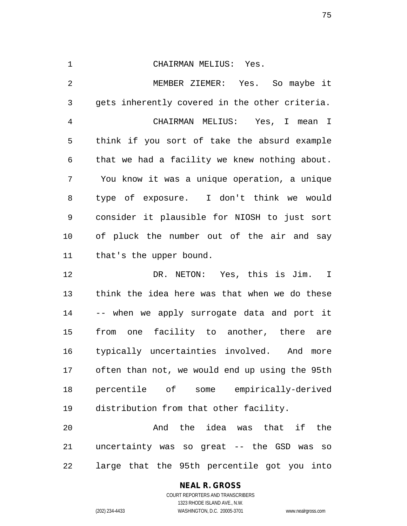CHAIRMAN MELIUS: Yes. MEMBER ZIEMER: Yes. So maybe it gets inherently covered in the other criteria. CHAIRMAN MELIUS: Yes, I mean I think if you sort of take the absurd example that we had a facility we knew nothing about. You know it was a unique operation, a unique type of exposure. I don't think we would consider it plausible for NIOSH to just sort of pluck the number out of the air and say that's the upper bound.

 DR. NETON: Yes, this is Jim. I think the idea here was that when we do these -- when we apply surrogate data and port it from one facility to another, there are typically uncertainties involved. And more often than not, we would end up using the 95th percentile of some empirically-derived distribution from that other facility.

 And the idea was that if the uncertainty was so great -- the GSD was so large that the 95th percentile got you into

## **NEAL R. GROSS**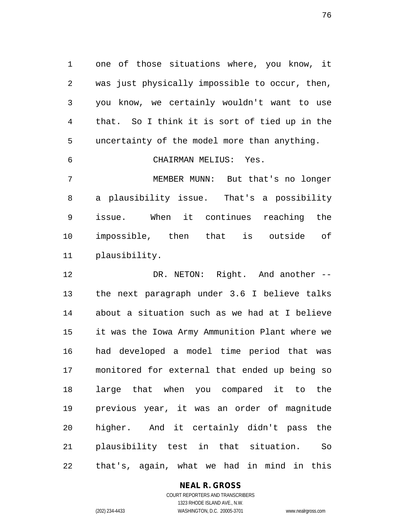one of those situations where, you know, it was just physically impossible to occur, then, you know, we certainly wouldn't want to use that. So I think it is sort of tied up in the uncertainty of the model more than anything.

CHAIRMAN MELIUS: Yes.

 MEMBER MUNN: But that's no longer a plausibility issue. That's a possibility issue. When it continues reaching the impossible, then that is outside of plausibility.

 DR. NETON: Right. And another -- the next paragraph under 3.6 I believe talks about a situation such as we had at I believe it was the Iowa Army Ammunition Plant where we had developed a model time period that was monitored for external that ended up being so large that when you compared it to the previous year, it was an order of magnitude higher. And it certainly didn't pass the plausibility test in that situation. So that's, again, what we had in mind in this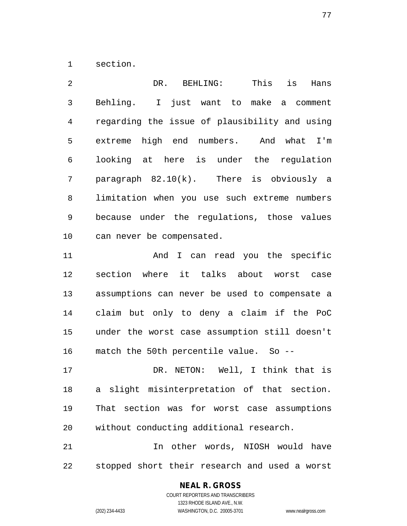section.

2 DR. BEHLING: This is Hans Behling. I just want to make a comment regarding the issue of plausibility and using extreme high end numbers. And what I'm looking at here is under the regulation paragraph 82.10(k). There is obviously a limitation when you use such extreme numbers because under the regulations, those values can never be compensated.

11 And I can read you the specific section where it talks about worst case assumptions can never be used to compensate a claim but only to deny a claim if the PoC under the worst case assumption still doesn't match the 50th percentile value. So --

 DR. NETON: Well, I think that is a slight misinterpretation of that section. That section was for worst case assumptions without conducting additional research.

 In other words, NIOSH would have stopped short their research and used a worst

### **NEAL R. GROSS**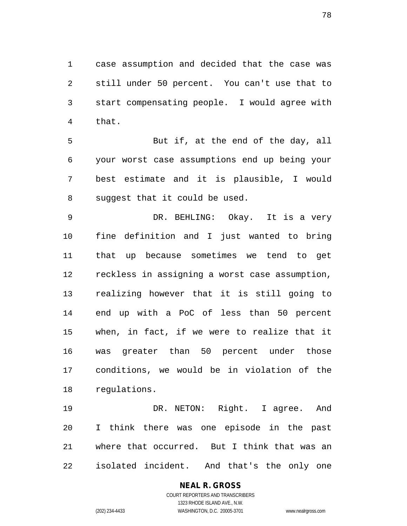case assumption and decided that the case was still under 50 percent. You can't use that to start compensating people. I would agree with that.

 But if, at the end of the day, all your worst case assumptions end up being your best estimate and it is plausible, I would suggest that it could be used.

 DR. BEHLING: Okay. It is a very fine definition and I just wanted to bring that up because sometimes we tend to get reckless in assigning a worst case assumption, realizing however that it is still going to end up with a PoC of less than 50 percent when, in fact, if we were to realize that it was greater than 50 percent under those conditions, we would be in violation of the regulations.

 DR. NETON: Right. I agree. And I think there was one episode in the past where that occurred. But I think that was an isolated incident. And that's the only one

> COURT REPORTERS AND TRANSCRIBERS 1323 RHODE ISLAND AVE., N.W. (202) 234-4433 WASHINGTON, D.C. 20005-3701 www.nealrgross.com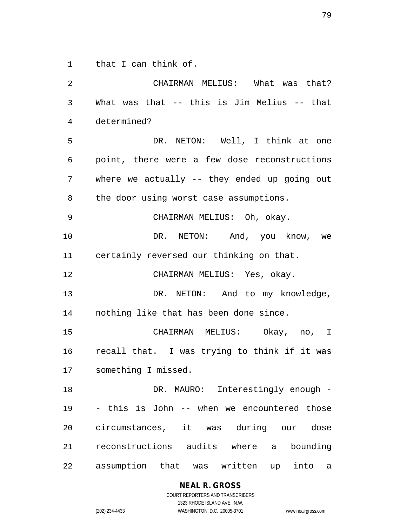that I can think of.

 CHAIRMAN MELIUS: What was that? What was that -- this is Jim Melius -- that determined? DR. NETON: Well, I think at one point, there were a few dose reconstructions where we actually -- they ended up going out the door using worst case assumptions. CHAIRMAN MELIUS: Oh, okay. 10 DR. NETON: And, you know, we certainly reversed our thinking on that. CHAIRMAN MELIUS: Yes, okay. 13 DR. NETON: And to my knowledge, nothing like that has been done since. CHAIRMAN MELIUS: Okay, no, I recall that. I was trying to think if it was something I missed. 18 DR. MAURO: Interestingly enough - - this is John -- when we encountered those circumstances, it was during our dose reconstructions audits where a bounding assumption that was written up into a

**NEAL R. GROSS**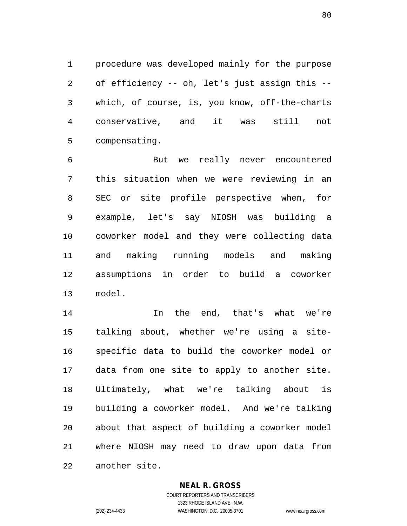procedure was developed mainly for the purpose of efficiency -- oh, let's just assign this -- which, of course, is, you know, off-the-charts conservative, and it was still not compensating.

 But we really never encountered this situation when we were reviewing in an SEC or site profile perspective when, for example, let's say NIOSH was building a coworker model and they were collecting data and making running models and making assumptions in order to build a coworker model.

 In the end, that's what we're talking about, whether we're using a site- specific data to build the coworker model or data from one site to apply to another site. Ultimately, what we're talking about is building a coworker model. And we're talking about that aspect of building a coworker model where NIOSH may need to draw upon data from another site.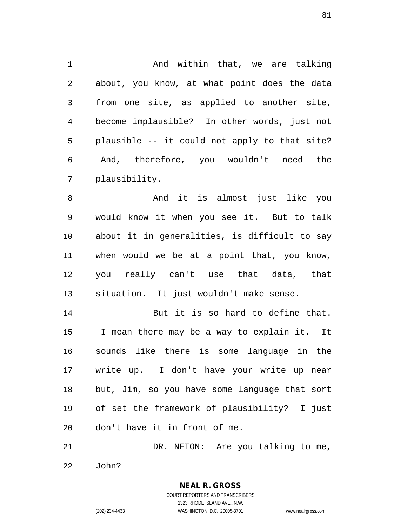And within that, we are talking about, you know, at what point does the data from one site, as applied to another site, become implausible? In other words, just not plausible -- it could not apply to that site? And, therefore, you wouldn't need the plausibility.

 And it is almost just like you would know it when you see it. But to talk about it in generalities, is difficult to say when would we be at a point that, you know, you really can't use that data, that situation. It just wouldn't make sense.

14 But it is so hard to define that. I mean there may be a way to explain it. It sounds like there is some language in the write up. I don't have your write up near but, Jim, so you have some language that sort of set the framework of plausibility? I just don't have it in front of me.

 DR. NETON: Are you talking to me, John?

> COURT REPORTERS AND TRANSCRIBERS 1323 RHODE ISLAND AVE., N.W. (202) 234-4433 WASHINGTON, D.C. 20005-3701 www.nealrgross.com

**NEAL R. GROSS**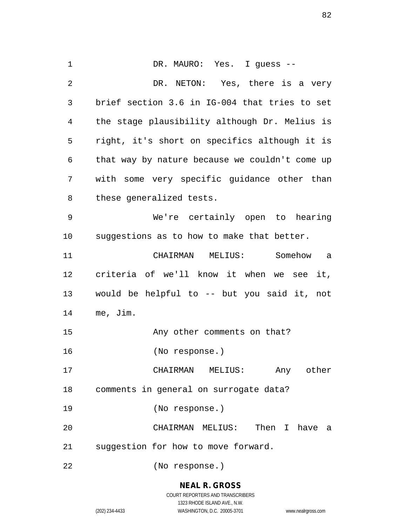DR. MAURO: Yes. I guess -- DR. NETON: Yes, there is a very brief section 3.6 in IG-004 that tries to set the stage plausibility although Dr. Melius is right, it's short on specifics although it is that way by nature because we couldn't come up with some very specific guidance other than these generalized tests. We're certainly open to hearing suggestions as to how to make that better. CHAIRMAN MELIUS: Somehow a criteria of we'll know it when we see it, would be helpful to -- but you said it, not me, Jim. 15 Any other comments on that? (No response.) CHAIRMAN MELIUS: Any other comments in general on surrogate data? (No response.) CHAIRMAN MELIUS: Then I have a suggestion for how to move forward. (No response.)

## **NEAL R. GROSS**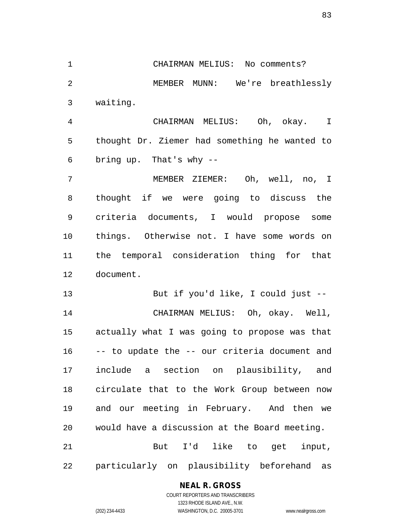CHAIRMAN MELIUS: No comments? MEMBER MUNN: We're breathlessly waiting. CHAIRMAN MELIUS: Oh, okay. I thought Dr. Ziemer had something he wanted to bring up. That's why -- MEMBER ZIEMER: Oh, well, no, I thought if we were going to discuss the

 criteria documents, I would propose some things. Otherwise not. I have some words on the temporal consideration thing for that document.

 But if you'd like, I could just -- CHAIRMAN MELIUS: Oh, okay. Well, actually what I was going to propose was that -- to update the -- our criteria document and include a section on plausibility, and circulate that to the Work Group between now and our meeting in February. And then we would have a discussion at the Board meeting. But I'd like to get input,

particularly on plausibility beforehand as

## **NEAL R. GROSS**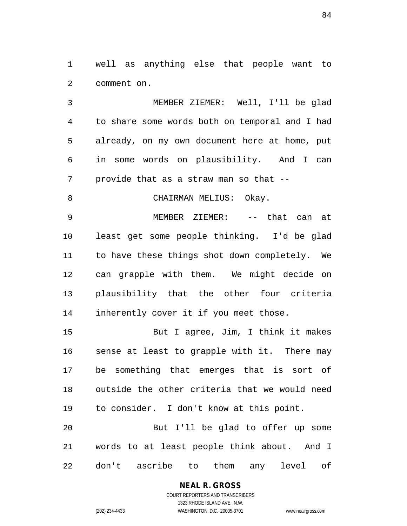well as anything else that people want to comment on.

 MEMBER ZIEMER: Well, I'll be glad to share some words both on temporal and I had already, on my own document here at home, put in some words on plausibility. And I can provide that as a straw man so that --

8 CHAIRMAN MELIUS: Okay.

 MEMBER ZIEMER: -- that can at least get some people thinking. I'd be glad to have these things shot down completely. We can grapple with them. We might decide on plausibility that the other four criteria inherently cover it if you meet those.

 But I agree, Jim, I think it makes sense at least to grapple with it. There may be something that emerges that is sort of outside the other criteria that we would need to consider. I don't know at this point.

 But I'll be glad to offer up some words to at least people think about. And I don't ascribe to them any level of

# **NEAL R. GROSS**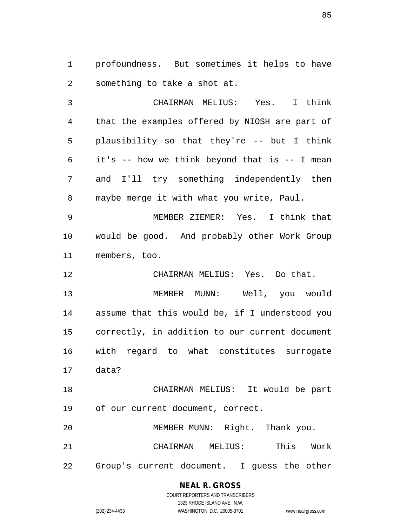profoundness. But sometimes it helps to have something to take a shot at.

 CHAIRMAN MELIUS: Yes. I think that the examples offered by NIOSH are part of plausibility so that they're -- but I think it's -- how we think beyond that is -- I mean and I'll try something independently then maybe merge it with what you write, Paul.

 MEMBER ZIEMER: Yes. I think that would be good. And probably other Work Group members, too.

CHAIRMAN MELIUS: Yes. Do that.

 MEMBER MUNN: Well, you would assume that this would be, if I understood you correctly, in addition to our current document with regard to what constitutes surrogate data?

 CHAIRMAN MELIUS: It would be part of our current document, correct.

 MEMBER MUNN: Right. Thank you. CHAIRMAN MELIUS: This Work Group's current document. I guess the other

## **NEAL R. GROSS**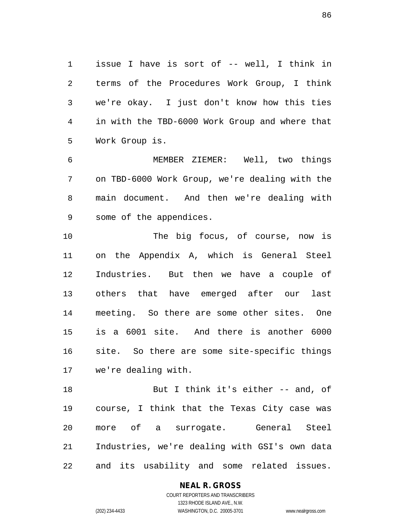issue I have is sort of -- well, I think in terms of the Procedures Work Group, I think we're okay. I just don't know how this ties in with the TBD-6000 Work Group and where that Work Group is.

 MEMBER ZIEMER: Well, two things on TBD-6000 Work Group, we're dealing with the main document. And then we're dealing with some of the appendices.

10 The big focus, of course, now is on the Appendix A, which is General Steel Industries. But then we have a couple of others that have emerged after our last meeting. So there are some other sites. One is a 6001 site. And there is another 6000 site. So there are some site-specific things we're dealing with.

 But I think it's either -- and, of course, I think that the Texas City case was more of a surrogate. General Steel Industries, we're dealing with GSI's own data and its usability and some related issues.

> **NEAL R. GROSS** COURT REPORTERS AND TRANSCRIBERS 1323 RHODE ISLAND AVE., N.W.

(202) 234-4433 WASHINGTON, D.C. 20005-3701 www.nealrgross.com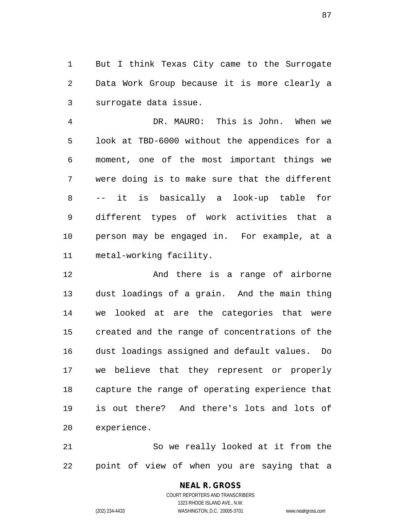But I think Texas City came to the Surrogate Data Work Group because it is more clearly a surrogate data issue.

 DR. MAURO: This is John. When we look at TBD-6000 without the appendices for a moment, one of the most important things we were doing is to make sure that the different -- it is basically a look-up table for different types of work activities that a person may be engaged in. For example, at a metal-working facility.

 And there is a range of airborne dust loadings of a grain. And the main thing we looked at are the categories that were created and the range of concentrations of the dust loadings assigned and default values. Do we believe that they represent or properly capture the range of operating experience that is out there? And there's lots and lots of experience.

 So we really looked at it from the point of view of when you are saying that a

#### **NEAL R. GROSS** COURT REPORTERS AND TRANSCRIBERS

1323 RHODE ISLAND AVE., N.W. (202) 234-4433 WASHINGTON, D.C. 20005-3701 www.nealrgross.com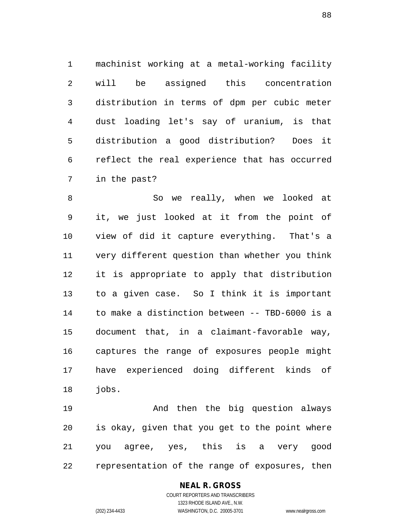machinist working at a metal-working facility will be assigned this concentration distribution in terms of dpm per cubic meter dust loading let's say of uranium, is that distribution a good distribution? Does it reflect the real experience that has occurred in the past?

8 So we really, when we looked at it, we just looked at it from the point of view of did it capture everything. That's a very different question than whether you think it is appropriate to apply that distribution to a given case. So I think it is important to make a distinction between -- TBD-6000 is a document that, in a claimant-favorable way, captures the range of exposures people might have experienced doing different kinds of jobs.

 And then the big question always is okay, given that you get to the point where you agree, yes, this is a very good representation of the range of exposures, then

### **NEAL R. GROSS**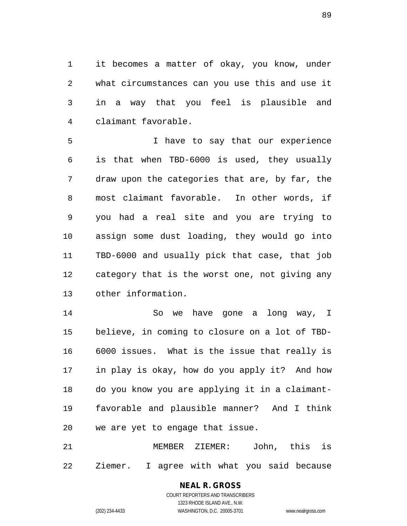it becomes a matter of okay, you know, under what circumstances can you use this and use it in a way that you feel is plausible and claimant favorable.

 I have to say that our experience is that when TBD-6000 is used, they usually draw upon the categories that are, by far, the most claimant favorable. In other words, if you had a real site and you are trying to assign some dust loading, they would go into TBD-6000 and usually pick that case, that job category that is the worst one, not giving any other information.

 So we have gone a long way, I believe, in coming to closure on a lot of TBD- 6000 issues. What is the issue that really is in play is okay, how do you apply it? And how do you know you are applying it in a claimant- favorable and plausible manner? And I think we are yet to engage that issue.

 MEMBER ZIEMER: John, this is Ziemer. I agree with what you said because

### **NEAL R. GROSS**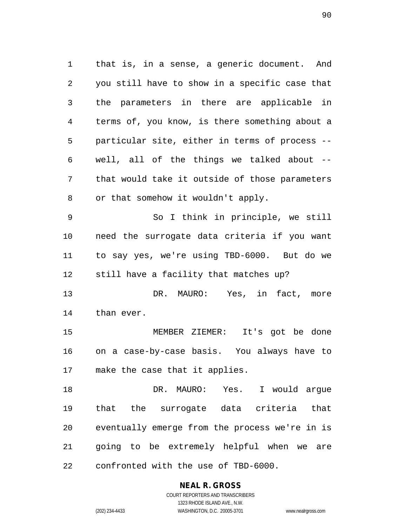that is, in a sense, a generic document. And you still have to show in a specific case that the parameters in there are applicable in terms of, you know, is there something about a particular site, either in terms of process -- well, all of the things we talked about -- that would take it outside of those parameters or that somehow it wouldn't apply.

 So I think in principle, we still need the surrogate data criteria if you want to say yes, we're using TBD-6000. But do we still have a facility that matches up?

13 DR. MAURO: Yes, in fact, more than ever.

 MEMBER ZIEMER: It's got be done on a case-by-case basis. You always have to make the case that it applies.

 DR. MAURO: Yes. I would argue that the surrogate data criteria that eventually emerge from the process we're in is going to be extremely helpful when we are confronted with the use of TBD-6000.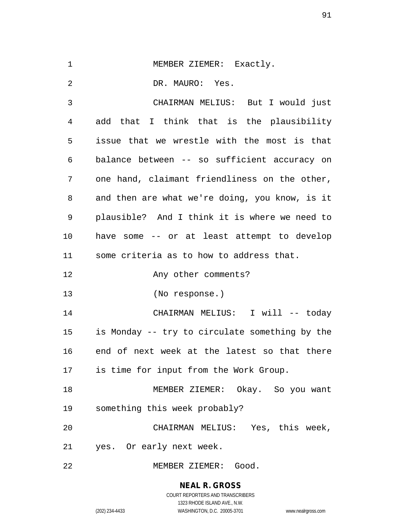|  |  | MEMBER ZIEMER: | Exactly |
|--|--|----------------|---------|
|--|--|----------------|---------|

DR. MAURO: Yes.

 CHAIRMAN MELIUS: But I would just add that I think that is the plausibility issue that we wrestle with the most is that balance between -- so sufficient accuracy on one hand, claimant friendliness on the other, and then are what we're doing, you know, is it plausible? And I think it is where we need to have some -- or at least attempt to develop some criteria as to how to address that. 12 Any other comments? (No response.) CHAIRMAN MELIUS: I will -- today is Monday -- try to circulate something by the end of next week at the latest so that there is time for input from the Work Group. MEMBER ZIEMER: Okay. So you want something this week probably? CHAIRMAN MELIUS: Yes, this week, yes. Or early next week.

MEMBER ZIEMER: Good.